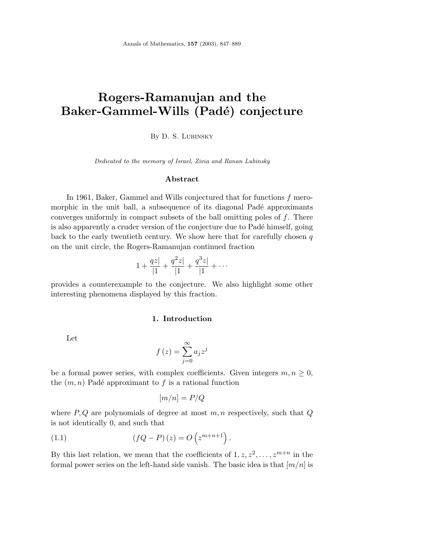# **Rogers-Ramanujan and the** Baker-Gammel-Wills (Padé) conjecture

By D. S. Lubinsky

*Dedicated to the memory of Israel*, *Zivia and Ranan Lubinsky*

#### **Abstract**

In 1961, Baker, Gammel and Wills conjectured that for functions *f* meromorphic in the unit ball, a subsequence of its diagonal Padé approximants converges uniformly in compact subsets of the ball omitting poles of *f*. There is also apparently a cruder version of the conjecture due to Padé himself, going back to the early twentieth century. We show here that for carefully chosen *q* on the unit circle, the Rogers-Ramanujan continued fraction

$$
1 + \frac{qz}{|1} + \frac{q^2z}{|1} + \frac{q^3z}{|1} + \cdots
$$

provides a counterexample to the conjecture. We also highlight some other interesting phenomena displayed by this fraction.

## **1. Introduction**

Let

$$
f(z) = \sum_{j=0}^{\infty} a_j z^j
$$

be a formal power series, with complex coefficients. Given integers  $m, n \geq 0$ , the  $(m, n)$  Padé approximant to  $f$  is a rational function

$$
[m/n] = P/Q
$$

where *P, Q* are polynomials of degree at most *m, n* respectively, such that *Q* is not identically 0, and such that

(1.1) 
$$
(fQ - P)(z) = O(z^{m+n+1}).
$$

By this last relation, we mean that the coefficients of  $1, z, z^2, \ldots, z^{m+n}$  in the formal power series on the left-hand side vanish. The basic idea is that [*m/n*] is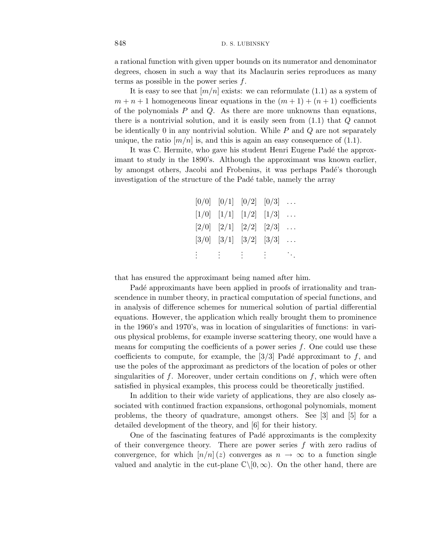a rational function with given upper bounds on its numerator and denominator degrees, chosen in such a way that its Maclaurin series reproduces as many terms as possible in the power series *f*.

It is easy to see that  $[m/n]$  exists: we can reformulate  $(1.1)$  as a system of  $m + n + 1$  homogeneous linear equations in the  $(m + 1) + (n + 1)$  coefficients of the polynomials *P* and *Q*. As there are more unknowns than equations, there is a nontrivial solution, and it is easily seen from (1.1) that *Q* cannot be identically 0 in any nontrivial solution. While *P* and *Q* are not separately unique, the ratio  $[m/n]$  is, and this is again an easy consequence of  $(1.1)$ .

It was C. Hermite, who gave his student Henri Eugene Padé the approximant to study in the 1890's. Although the approximant was known earlier, by amongst others, Jacobi and Frobenius, it was perhaps Padé's thorough investigation of the structure of the Padé table, namely the array

|               |    | $[0/0]$ $[0/1]$ $[0/2]$ $[0/3]$                                                                               |            |          |
|---------------|----|---------------------------------------------------------------------------------------------------------------|------------|----------|
|               |    | $\begin{bmatrix} 1/0 & \begin{bmatrix} 1/1 & \begin{bmatrix} 1/2 & \end{bmatrix} \end{bmatrix} \end{bmatrix}$ |            | $\cdots$ |
|               |    | $[2/0]$ $[2/1]$ $[2/2]$ $[2/3]$                                                                               |            | $\cdots$ |
|               |    | $[3/0]$ $[3/1]$ $[3/2]$ $[3/3]$                                                                               |            | $\cdots$ |
| $\frac{1}{2}$ | ÷. | $\mathbb{R}^n$                                                                                                | $\sim 400$ | ta ji    |

that has ensured the approximant being named after him.

Padé approximants have been applied in proofs of irrationality and transcendence in number theory, in practical computation of special functions, and in analysis of difference schemes for numerical solution of partial differential equations. However, the application which really brought them to prominence in the 1960's and 1970's, was in location of singularities of functions: in various physical problems, for example inverse scattering theory, one would have a means for computing the coefficients of a power series *f*. One could use these coefficients to compute, for example, the  $\left[3/3\right]$  Padé approximant to f, and use the poles of the approximant as predictors of the location of poles or other singularities of *f*. Moreover, under certain conditions on *f*, which were often satisfied in physical examples, this process could be theoretically justified.

In addition to their wide variety of applications, they are also closely associated with continued fraction expansions, orthogonal polynomials, moment problems, the theory of quadrature, amongst others. See [3] and [5] for a detailed development of the theory, and [6] for their history.

One of the fascinating features of Padé approximants is the complexity of their convergence theory. There are power series *f* with zero radius of convergence, for which  $\left[ n/n \right] (z)$  converges as  $n \to \infty$  to a function single valued and analytic in the cut-plane  $\mathbb{C}\setminus[0,\infty)$ . On the other hand, there are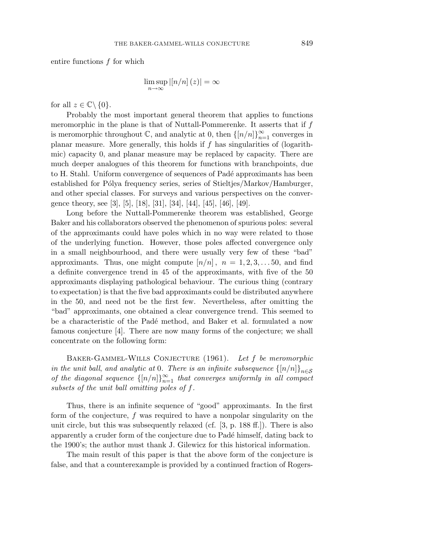entire functions *f* for which

$$
\limsup_{n\to\infty} |[n/n](z)| = \infty
$$

for all  $z \in \mathbb{C} \backslash \{0\}.$ 

Probably the most important general theorem that applies to functions meromorphic in the plane is that of Nuttall-Pommerenke. It asserts that if *f* is meromorphic throughout  $\mathbb{C}$ , and analytic at 0, then  $\{[n/n]\}_{n=1}^{\infty}$  converges in planar measure. More generally, this holds if *f* has singularities of (logarithmic) capacity 0, and planar measure may be replaced by capacity. There are much deeper analogues of this theorem for functions with branchpoints, due to H. Stahl. Uniform convergence of sequences of Padé approximants has been established for Pólya frequency series, series of Stieltjes/Markov/Hamburger, and other special classes. For surveys and various perspectives on the convergence theory, see [3], [5], [18], [31], [34], [44], [45], [46], [49].

Long before the Nuttall-Pommerenke theorem was established, George Baker and his collaborators observed the phenomenon of spurious poles: several of the approximants could have poles which in no way were related to those of the underlying function. However, those poles affected convergence only in a small neighbourhood, and there were usually very few of these "bad" approximants. Thus, one might compute  $[n/n]$ ,  $n = 1, 2, 3, \ldots, 50$ , and find a definite convergence trend in 45 of the approximants, with five of the 50 approximants displaying pathological behaviour. The curious thing (contrary to expectation) is that the five bad approximants could be distributed anywhere in the 50, and need not be the first few. Nevertheless, after omitting the "bad" approximants, one obtained a clear convergence trend. This seemed to be a characteristic of the Padé method, and Baker et al. formulated a now famous conjecture [4]. There are now many forms of the conjecture; we shall concentrate on the following form:

Baker-Gammel-Wills Conjecture (1961). Let *f* be meromorphic in the unit ball, and analytic at 0. There is an infinite subsequence  $\{[n/n]\}_{n\in\mathcal{S}}$ of the diagonal sequence  $\{[n/n]\}_{n=1}^{\infty}$  that converges uniformly in all compact subsets of the unit ball omitting poles of *f*.

Thus, there is an infinite sequence of "good" approximants. In the first form of the conjecture, *f* was required to have a nonpolar singularity on the unit circle, but this was subsequently relaxed (cf. [3, p. 188 ff.]). There is also apparently a cruder form of the conjecture due to Padé himself, dating back to the 1900's; the author must thank J. Gilewicz for this historical information.

The main result of this paper is that the above form of the conjecture is false, and that a counterexample is provided by a continued fraction of Rogers-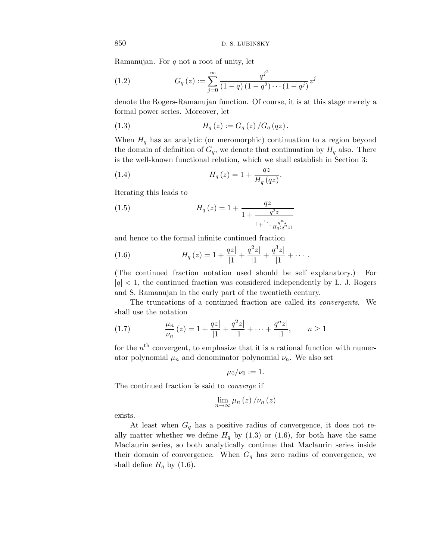Ramanujan. For *q* not a root of unity, let

(1.2) 
$$
G_q(z) := \sum_{j=0}^{\infty} \frac{q^{j^2}}{(1-q)(1-q^2)\cdots(1-q^j)} z^j
$$

denote the Rogers-Ramanujan function. Of course, it is at this stage merely a formal power series. Moreover, let

(1.3) 
$$
H_q(z) := G_q(z) / G_q(qz).
$$

When  $H_q$  has an analytic (or meromorphic) continuation to a region beyond the domain of definition of  $G_q$ , we denote that continuation by  $H_q$  also. There is the well-known functional relation, which we shall establish in Section 3:

(1.4) 
$$
H_q(z) = 1 + \frac{qz}{H_q(qz)}.
$$

Iterating this leads to

(1.5) 
$$
H_q(z) = 1 + \frac{qz}{1 + \frac{q^2z}{1 + \ddots + \frac{q^n z}{H_q(q^n z)}}}
$$

and hence to the formal infinite continued fraction

(1.6) 
$$
H_q(z) = 1 + \frac{qz}{|1} + \frac{q^2z}{|1} + \frac{q^3z}{|1} + \cdots
$$

(The continued fraction notation used should be self explanatory.) For  $|q|$  < 1, the continued fraction was considered independently by L. J. Rogers and S. Ramanujan in the early part of the twentieth century.

The truncations of a continued fraction are called its convergents. We shall use the notation

(1.7) 
$$
\frac{\mu_n}{\nu_n}(z) = 1 + \frac{qz}{|1|} + \frac{q^2z}{|1|} + \dots + \frac{q^nz}{|1|}, \qquad n \ge 1
$$

for the  $n<sup>th</sup>$  convergent, to emphasize that it is a rational function with numerator polynomial  $\mu_n$  and denominator polynomial  $\nu_n$ . We also set

$$
\mu_0/\nu_0:=1.
$$

The continued fraction is said to converge if

$$
\lim_{n\to\infty}\mu_n(z)/\nu_n(z)
$$

exists.

At least when  $G_q$  has a positive radius of convergence, it does not really matter whether we define  $H_q$  by (1.3) or (1.6), for both have the same Maclaurin series, so both analytically continue that Maclaurin series inside their domain of convergence. When  $G_q$  has zero radius of convergence, we shall define  $H_q$  by (1.6).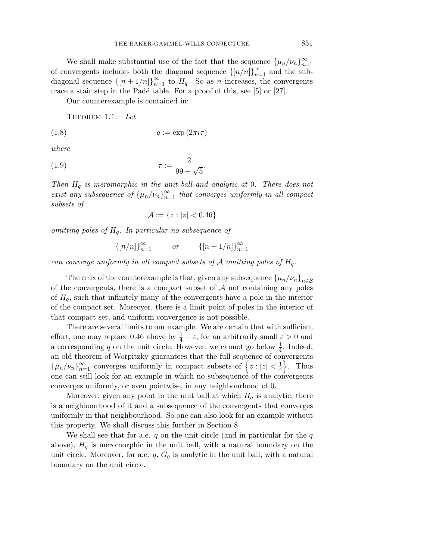We shall make substantial use of the fact that the sequence  $\{\mu_n/\nu_n\}_{n=1}^{\infty}$ of convergents includes both the diagonal sequence  $\{[n/n]\}_{n=1}^{\infty}$  and the subdiagonal sequence  $\{[n+1/n]\}_{n=1}^{\infty}$  to  $H_q$ . So as *n* increases, the convergents trace a stair step in the Padé table. For a proof of this, see  $[5]$  or  $[27]$ .

Our counterexample is contained in:

THEOREM 1.1. Let

$$
(1.8) \t\t q := \exp(2\pi i \tau)
$$

where

$$
\tau := \frac{2}{99 + \sqrt{5}}
$$

Then  $H_q$  is meromorphic in the unit ball and analytic at 0. There does not exist any subsequence of  $\{\mu_n/\nu_n\}_{n=1}^{\infty}$  that converges uniformly in all compact subsets of

*.*

$$
\mathcal{A} := \{ z : |z| < 0.46 \}
$$

omitting poles of *H*q. In particular no subsequence of

$$
\{ [n/n] \}_{n=1}^{\infty} \qquad or \qquad \{ [n+1/n] \}_{n=1}^{\infty}
$$

can converge uniformly in all compact subsets of  $A$  omitting poles of  $H_q$ .

The crux of the counterexample is that, given any subsequence  $\{\mu_n/\nu_n\}_{n\in\mathcal{S}}$ of the convergents, there is a compact subset of  $A$  not containing any poles of  $H_q$ , such that infinitely many of the convergents have a pole in the interior of the compact set. Moreover, there is a limit point of poles in the interior of that compact set, and uniform convergence is not possible.

There are several limits to our example. We are certain that with sufficient effort, one may replace 0.46 above by  $\frac{1}{4} + \varepsilon$ , for an arbitrarily small  $\varepsilon > 0$  and a corresponding q on the unit circle. However, we cannot go below  $\frac{1}{4}$ . Indeed, an old theorem of Worpitzky guarantees that the full sequence of convergents  $\{\mu_n/\nu_n\}_{n=1}^{\infty}$  converges uniformly in compact subsets of  $\{z : |z| < \frac{1}{4}\}.$  Thus one can still look for an example in which no subsequence of the convergents converges uniformly, or even pointwise, in any neighbourhood of 0.

Moreover, given any point in the unit ball at which  $H_q$  is analytic, there is a neighbourhood of it and a subsequence of the convergents that converges uniformly in that neighbourhood. So one can also look for an example without this property. We shall discuss this further in Section 8.

We shall see that for a.e. *q* on the unit circle (and in particular for the *q* above),  $H_q$  is meromorphic in the unit ball, with a natural boundary on the unit circle. Moreover, for a.e.  $q$ ,  $G_q$  is analytic in the unit ball, with a natural boundary on the unit circle.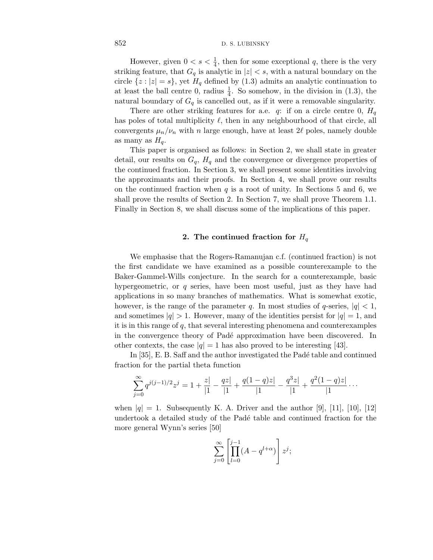However, given  $0 < s < \frac{1}{4}$ , then for some exceptional q, there is the very striking feature, that  $G_q$  is analytic in  $|z| < s$ , with a natural boundary on the circle  $\{z : |z| = s\}$ , yet  $H_q$  defined by (1.3) admits an analytic continuation to at least the ball centre 0, radius  $\frac{1}{4}$ . So somehow, in the division in (1.3), the natural boundary of  $G_q$  is cancelled out, as if it were a removable singularity.

There are other striking features for a.e.  $q$ : if on a circle centre 0,  $H_q$ has poles of total multiplicity  $\ell$ , then in any neighbourhood of that circle, all convergents  $\mu_n/\nu_n$  with *n* large enough, have at least 2 $\ell$  poles, namely double as many as  $H<sub>a</sub>$ .

This paper is organised as follows: in Section 2, we shall state in greater detail, our results on  $G_q$ ,  $H_q$  and the convergence or divergence properties of the continued fraction. In Section 3, we shall present some identities involving the approximants and their proofs. In Section 4, we shall prove our results on the continued fraction when  $q$  is a root of unity. In Sections 5 and 6, we shall prove the results of Section 2. In Section 7, we shall prove Theorem 1.1. Finally in Section 8, we shall discuss some of the implications of this paper.

#### **2.** The continued fraction for  $H_q$

We emphasise that the Rogers-Ramanujan c.f. (continued fraction) is not the first candidate we have examined as a possible counterexample to the Baker-Gammel-Wills conjecture. In the search for a counterexample, basic hypergeometric, or *q* series, have been most useful, just as they have had applications in so many branches of mathematics. What is somewhat exotic, however, is the range of the parameter q. In most studies of q-series,  $|q| < 1$ , and sometimes  $|q| > 1$ . However, many of the identities persist for  $|q| = 1$ , and it is in this range of *q*, that several interesting phenomena and counterexamples in the convergence theory of Padé approximation have been discovered. In other contexts, the case  $|q| = 1$  has also proved to be interesting [43].

In  $[35]$ , E. B. Saff and the author investigated the Padé table and continued fraction for the partial theta function

$$
\sum_{j=0}^{\infty} q^{j(j-1)/2} z^j = 1 + \frac{z|}{|1|} - \frac{qz|}{|1|} + \frac{q(1-q)z|}{|1|} - \frac{q^3 z|}{|1|} + \frac{q^2(1-q)z|}{|1|} \cdots
$$

when  $|q| = 1$ . Subsequently K. A. Driver and the author [9], [11], [10], [12] undertook a detailed study of the Padé table and continued fraction for the more general Wynn's series [50]

$$
\sum_{j=0}^{\infty} \left[ \prod_{l=0}^{j-1} (A - q^{l+\alpha}) \right] z^j;
$$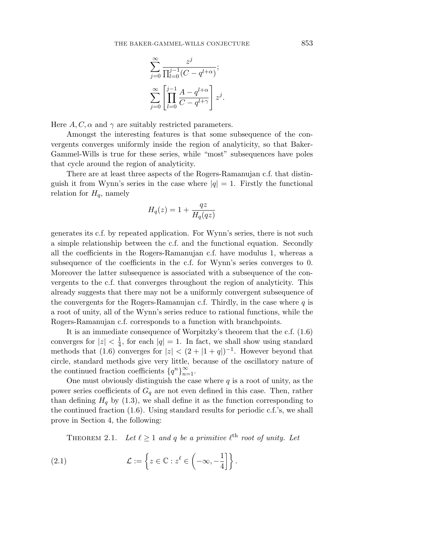$$
\sum_{j=0}^{\infty} \frac{z^j}{\prod_{l=0}^{j-1} (C - q^{l+\alpha})};
$$
  

$$
\sum_{j=0}^{\infty} \left[ \prod_{l=0}^{j-1} \frac{A - q^{l+\alpha}}{C - q^{l+\gamma}} \right] z^j.
$$

Here  $A, C, \alpha$  and  $\gamma$  are suitably restricted parameters.

Amongst the interesting features is that some subsequence of the convergents converges uniformly inside the region of analyticity, so that Baker-Gammel-Wills is true for these series, while "most" subsequences have poles that cycle around the region of analyticity.

There are at least three aspects of the Rogers-Ramanujan c.f. that distinguish it from Wynn's series in the case where  $|q| = 1$ . Firstly the functional relation for  $H_q$ , namely

$$
H_q(z) = 1 + \frac{qz}{H_q(qz)}
$$

generates its c.f. by repeated application. For Wynn's series, there is not such a simple relationship between the c.f. and the functional equation. Secondly all the coefficients in the Rogers-Ramanujan c.f. have modulus 1, whereas a subsequence of the coefficients in the c.f. for Wynn's series converges to 0. Moreover the latter subsequence is associated with a subsequence of the convergents to the c.f. that converges throughout the region of analyticity. This already suggests that there may not be a uniformly convergent subsequence of the convergents for the Rogers-Ramanujan c.f. Thirdly, in the case where *q* is a root of unity, all of the Wynn's series reduce to rational functions, while the Rogers-Ramanujan c.f. corresponds to a function with branchpoints.

It is an immediate consequence of Worpitzky's theorem that the c.f. (1.6) converges for  $|z| < \frac{1}{4}$ , for each  $|q| = 1$ . In fact, we shall show using standard methods that (1.6) converges for  $|z| < (2 + |1 + q|)^{-1}$ . However beyond that circle, standard methods give very little, because of the oscillatory nature of the continued fraction coefficients  ${q^n}_{n=1}^{\infty}$ .

One must obviously distinguish the case where *q* is a root of unity, as the power series coefficients of  $G_q$  are not even defined in this case. Then, rather than defining  $H_q$  by (1.3), we shall define it as the function corresponding to the continued fraction  $(1.6)$ . Using standard results for periodic c.f.'s, we shall prove in Section 4, the following:

THEOREM 2.1. Let  $\ell \geq 1$  and q be a primitive  $\ell^{\text{th}}$  root of unity. Let

(2.1) 
$$
\mathcal{L} := \left\{ z \in \mathbb{C} : z^{\ell} \in \left( -\infty, -\frac{1}{4} \right] \right\}.
$$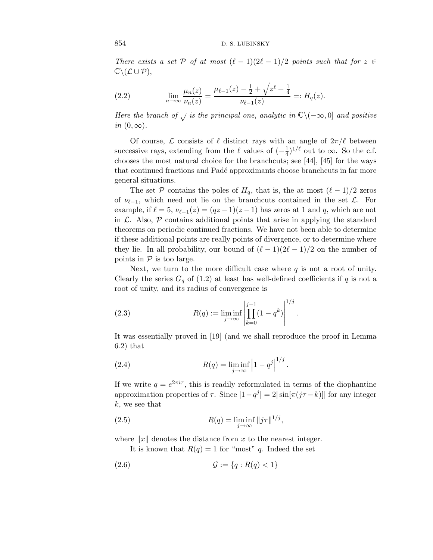There exists a set P of at most  $(\ell - 1)(2\ell - 1)/2$  points such that for  $z \in$  $\mathbb{C}\backslash (\mathcal{L}\cup \mathcal{P}),$ 

(2.2) 
$$
\lim_{n \to \infty} \frac{\mu_n(z)}{\nu_n(z)} = \frac{\mu_{\ell-1}(z) - \frac{1}{2} + \sqrt{z^{\ell} + \frac{1}{4}}}{\nu_{\ell-1}(z)} =: H_q(z).
$$

Here the branch of  $\sqrt{}$  is the principal one, analytic in  $\mathbb{C}\setminus(-\infty,0]$  and positive in  $(0, \infty)$ .

Of course,  $\mathcal L$  consists of  $\ell$  distinct rays with an angle of  $2\pi/\ell$  between successive rays, extending from the  $\ell$  values of  $\left(-\frac{1}{4}\right)^{1/\ell}$  out to  $\infty$ . So the c.f. chooses the most natural choice for the branchcuts; see [44], [45] for the ways that continued fractions and Padé approximants choose branchcuts in far more general situations.

The set P contains the poles of  $H_q$ , that is, the at most  $(\ell-1)/2$  zeros of  $\nu_{\ell-1}$ , which need not lie on the branchcuts contained in the set  $\mathcal{L}$ . For example, if  $\ell = 5$ ,  $\nu_{\ell-1}(z) = (qz-1)(z-1)$  has zeros at 1 and  $\overline{q}$ , which are not in  $\mathcal{L}$ . Also,  $\mathcal{P}$  contains additional points that arise in applying the standard theorems on periodic continued fractions. We have not been able to determine if these additional points are really points of divergence, or to determine where they lie. In all probability, our bound of  $(\ell - 1)(2\ell - 1)/2$  on the number of points in  $P$  is too large.

Next, we turn to the more difficult case where *q* is not a root of unity. Clearly the series  $G_q$  of (1.2) at least has well-defined coefficients if q is not a root of unity, and its radius of convergence is

(2.3) 
$$
R(q) := \liminf_{j \to \infty} \left| \prod_{k=0}^{j-1} (1 - q^k) \right|^{1/j}.
$$

It was essentially proved in [19] (and we shall reproduce the proof in Lemma 6.2) that

(2.4) 
$$
R(q) = \liminf_{j \to \infty} \left| 1 - q^j \right|^{1/j}.
$$

If we write  $q = e^{2\pi i \tau}$ , this is readily reformulated in terms of the diophantine approximation properties of  $\tau$ . Since  $|1-q^j| = 2|\sin[\pi(j\tau-k)]|$  for any integer *k*, we see that

(2.5) 
$$
R(q) = \liminf_{j \to \infty} ||j\tau||^{1/j},
$$

where  $||x||$  denotes the distance from  $x$  to the nearest integer.

It is known that  $R(q) = 1$  for "most" *q*. Indeed the set

(2.6) 
$$
\mathcal{G} := \{q : R(q) < 1\}
$$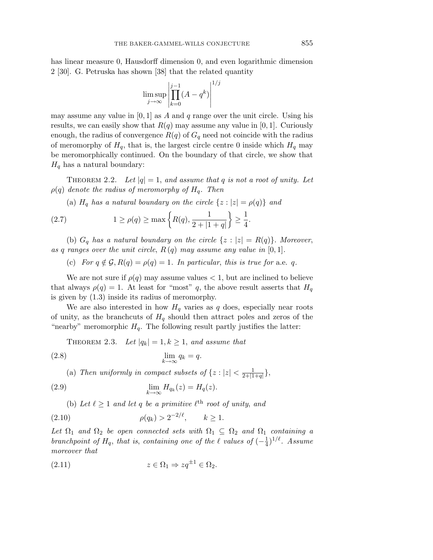has linear measure 0, Hausdorff dimension 0, and even logarithmic dimension 2 [30]. G. Petruska has shown [38] that the related quantity

$$
\limsup_{j \to \infty} \left| \prod_{k=0}^{j-1} (A - q^k) \right|^{1/j}
$$

may assume any value in [0*,* 1] as *A* and *q* range over the unit circle. Using his results, we can easily show that  $R(q)$  may assume any value in [0, 1]. Curiously enough, the radius of convergence  $R(q)$  of  $G_q$  need not coincide with the radius of meromorphy of  $H_q$ , that is, the largest circle centre 0 inside which  $H_q$  may be meromorphically continued. On the boundary of that circle, we show that  $H_q$  has a natural boundary:

THEOREM 2.2. Let  $|q| = 1$ , and assume that q is not a root of unity. Let  $\rho(q)$  denote the radius of meromorphy of  $H_q$ . Then

(a)  $H_q$  has a natural boundary on the circle  $\{z : |z| = \rho(q)\}$  and

(2.7) 
$$
1 \ge \rho(q) \ge \max\left\{R(q), \frac{1}{2 + |1 + q|}\right\} \ge \frac{1}{4}.
$$

(b)  $G_q$  has a natural boundary on the circle  $\{z : |z| = R(q)\}$ . Moreover, as *q* ranges over the unit circle,  $R(q)$  may assume any value in  $[0, 1]$ .

(c) For  $q \notin \mathcal{G}, R(q) = \rho(q) = 1$ . In particular, this is true for a.e. q.

We are not sure if  $\rho(q)$  may assume values  $\lt 1$ , but are inclined to believe that always  $\rho(q)=1$ . At least for "most" *q*, the above result asserts that  $H_q$ is given by (1.3) inside its radius of meromorphy.

We are also interested in how  $H_q$  varies as  $q$  does, especially near roots of unity, as the branchcuts of  $H_q$  should then attract poles and zeros of the "nearby" meromorphic  $H_q$ . The following result partly justifies the latter:

THEOREM 2.3. Let  $|q_k| = 1, k \ge 1$ , and assume that

$$
\lim_{k \to \infty} q_k = q.
$$

(a) Then uniformly in compact subsets of  $\{z : |z| < \frac{1}{2+|1+q|}\},\$ 

(2.9) 
$$
\lim_{k \to \infty} H_{q_k}(z) = H_q(z).
$$

(b) Let  $\ell \geq 1$  and let *q* be a primitive  $\ell^{\text{th}}$  root of unity, and

(2.10) 
$$
\rho(q_k) > 2^{-2/\ell}, \qquad k \ge 1.
$$

Let  $\Omega_1$  and  $\Omega_2$  be open connected sets with  $\Omega_1 \subseteq \Omega_2$  and  $\Omega_1$  containing a branchpoint of  $H_q$ , that is, containing one of the  $\ell$  values of  $(-\frac{1}{4})^{1/\ell}$ . Assume moreover that

$$
(2.11) \t\t z \in \Omega_1 \Rightarrow zq^{\pm 1} \in \Omega_2.
$$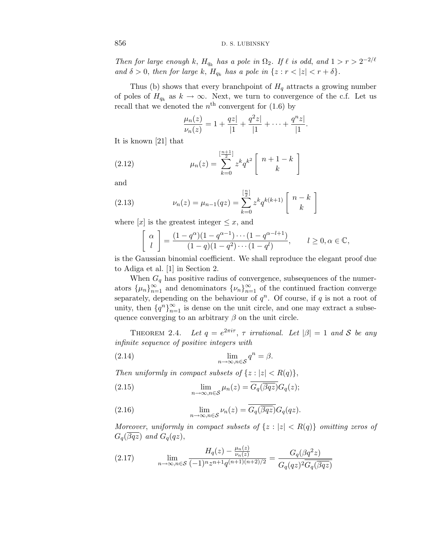Then for large enough *k*,  $H_{q_k}$  has a pole in  $\Omega_2$ . If  $\ell$  is odd, and  $1 > r > 2^{-2/\ell}$ and  $\delta > 0$ , then for large k,  $H_{q_k}$  has a pole in  $\{z : r < |z| < r + \delta\}.$ 

Thus (b) shows that every branchpoint of  $H_q$  attracts a growing number of poles of  $H_{q_k}$  as  $k \to \infty$ . Next, we turn to convergence of the c.f. Let us recall that we denoted the  $n^{\text{th}}$  convergent for (1.6) by

$$
\frac{\mu_n(z)}{\nu_n(z)} = 1 + \frac{qz}{|1|} + \frac{q^2z}{|1|} + \dots + \frac{q^nz}{|1|}.
$$

It is known [21] that

(2.12) 
$$
\mu_n(z) = \sum_{k=0}^{\left[\frac{n+1}{2}\right]} z^k q^{k^2} \begin{bmatrix} n+1-k \\ k \end{bmatrix}
$$

and

(2.13) 
$$
\nu_n(z) = \mu_{n-1}(qz) = \sum_{k=0}^{\left[\frac{n}{2}\right]} z^k q^{k(k+1)} \begin{bmatrix} n-k \\ k \end{bmatrix}
$$

where  $[x]$  is the greatest integer  $\leq x$ , and

$$
\begin{bmatrix} \alpha \\ l \end{bmatrix} = \frac{(1 - q^{\alpha})(1 - q^{\alpha - 1}) \cdots (1 - q^{\alpha - l + 1})}{(1 - q)(1 - q^2) \cdots (1 - q^l)}, \qquad l \ge 0, \alpha \in \mathbb{C},
$$

is the Gaussian binomial coefficient. We shall reproduce the elegant proof due to Adiga et al. [1] in Section 2.

When  $G_q$  has positive radius of convergence, subsequences of the numerators  $\{\mu_n\}_{n=1}^{\infty}$  and denominators  $\{\nu_n\}_{n=1}^{\infty}$  of the continued fraction converge separately, depending on the behaviour of  $q^n$ . Of course, if  $q$  is not a root of unity, then  ${q^n}_{n=1}^\infty$  is dense on the unit circle, and one may extract a subsequence converging to an arbitrary  $\beta$  on the unit circle.

THEOREM 2.4. Let  $q = e^{2\pi i \tau}$ ,  $\tau$  irrational. Let  $|\beta| = 1$  and S be any infinite sequence of positive integers with

(2.14) 
$$
\lim_{n \to \infty, n \in S} q^n = \beta.
$$

Then uniformly in compact subsets of  $\{z : |z| < R(q)\},\$ 

(2.15) 
$$
\lim_{n \to \infty, n \in S} \mu_n(z) = \overline{G_q(\overline{\beta q z})} G_q(z);
$$

(2.16) 
$$
\lim_{n \to \infty, n \in \mathcal{S}} \nu_n(z) = \overline{G_q(\overline{\beta qz})} G_q(qz).
$$

Moreover, uniformly in compact subsets of  $\{z : |z| < R(q)\}$  omitting zeros of  $G_q(\overline{gqz})$  and  $G_q(qz)$ ,

(2.17) 
$$
\lim_{n \to \infty, n \in \mathcal{S}} \frac{H_q(z) - \frac{\mu_n(z)}{\nu_n(z)}}{(-1)^n z^{n+1} q^{(n+1)(n+2)/2}} = \frac{G_q(\beta q^2 z)}{G_q(qz)^2 \overline{G_q(\beta q z)}}
$$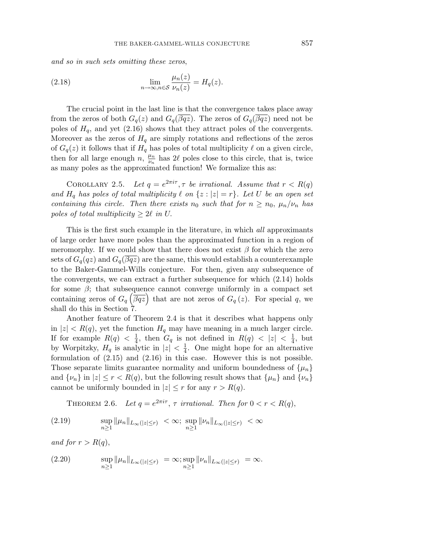and so in such sets omitting these zeros,

(2.18) 
$$
\lim_{n \to \infty, n \in \mathcal{S}} \frac{\mu_n(z)}{\nu_n(z)} = H_q(z).
$$

The crucial point in the last line is that the convergence takes place away from the zeros of both  $G_q(z)$  and  $G_q(\beta qz)$ . The zeros of  $G_q(\beta qz)$  need not be poles of  $H_q$ , and yet (2.16) shows that they attract poles of the convergents. Moreover as the zeros of  $H<sub>q</sub>$  are simply rotations and reflections of the zeros of  $G_q(z)$  it follows that if  $H_q$  has poles of total multiplicity  $\ell$  on a given circle, then for all large enough  $n, \frac{\mu_n}{\nu_n}$  has 2 $\ell$  poles close to this circle, that is, twice as many poles as the approximated function! We formalize this as:

COROLLARY 2.5. Let  $q = e^{2\pi i \tau}, \tau$  be irrational. Assume that  $r < R(q)$ and  $H_q$  has poles of total multiplicity  $\ell$  on  $\{z : |z| = r\}$ . Let U be an open set containing this circle. Then there exists  $n_0$  such that for  $n \geq n_0$ ,  $\mu_n/\nu_n$  has poles of total multiplicity  $\geq 2\ell$  in U.

This is the first such example in the literature, in which all approximants of large order have more poles than the approximated function in a region of meromorphy. If we could show that there does not exist  $\beta$  for which the zero sets of  $G_q(qz)$  and  $G_q(\beta qx)$  are the same, this would establish a counterexample to the Baker-Gammel-Wills conjecture. For then, given any subsequence of the convergents, we can extract a further subsequence for which (2.14) holds for some  $\beta$ ; that subsequence cannot converge uniformly in a compact set containing zeros of  $G_q(\overline{\beta qz})$  that are not zeros of  $G_q(z)$ . For special q, we shall do this in Section 7.

Another feature of Theorem 2.4 is that it describes what happens only in  $|z| < R(q)$ , yet the function  $H_q$  may have meaning in a much larger circle. If for example  $R(q) < \frac{1}{4}$ , then  $G_q$  is not defined in  $R(q) < |z| < \frac{1}{4}$ , but by Worpitzky,  $H_q$  is analytic in  $|z| < \frac{1}{4}$ . One might hope for an alternative formulation of (2.15) and (2.16) in this case. However this is not possible. Those separate limits guarantee normality and uniform boundedness of  $\{\mu_n\}$ and  $\{\nu_n\}$  in  $|z| \leq r < R(q)$ , but the following result shows that  $\{\mu_n\}$  and  $\{\nu_n\}$ cannot be uniformly bounded in  $|z| \leq r$  for any  $r > R(q)$ .

THEOREM 2.6. Let  $q = e^{2\pi i \tau}$ ,  $\tau$  irrational. Then for  $0 < r < R(q)$ ,

(2.19) 
$$
\sup_{n\geq 1} \|\mu_n\|_{L_\infty(|z|\leq r)} < \infty; \sup_{n\geq 1} \|\nu_n\|_{L_\infty(|z|\leq r)} < \infty
$$

and for  $r > R(q)$ ,

(2.20) 
$$
\sup_{n\geq 1} \|\mu_n\|_{L_\infty(|z|\leq r)} = \infty; \sup_{n\geq 1} \|\nu_n\|_{L_\infty(|z|\leq r)} = \infty.
$$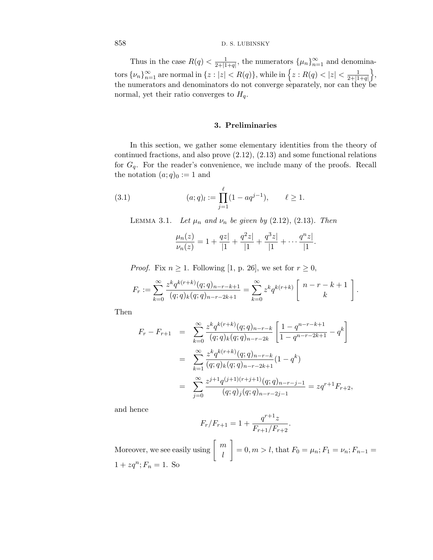Thus in the case  $R(q) < \frac{1}{2+|1+q|}$ , the numerators  $\{\mu_n\}_{n=1}^{\infty}$  and denomina- $\text{tors } \{\nu_n\}_{n=1}^{\infty} \text{ are normal in } \{z : |z| < R(q)\}, \text{while in } \left\{z : R(q) < |z| < \frac{1}{2+|1+q|}\right\}$  $\big\},\$ the numerators and denominators do not converge separately, nor can they be normal, yet their ratio converges to  $H_q$ .

#### **3. Preliminaries**

In this section, we gather some elementary identities from the theory of continued fractions, and also prove (2.12), (2.13) and some functional relations for *G*q. For the reader's convenience, we include many of the proofs. Recall the notation  $(a;q)_0 := 1$  and

(3.1) 
$$
(a;q)_l := \prod_{j=1}^{\ell} (1 - aq^{j-1}), \qquad \ell \ge 1.
$$

LEMMA 3.1. Let  $\mu_n$  and  $\nu_n$  be given by (2.12), (2.13). Then

$$
\frac{\mu_n(z)}{\nu_n(z)} = 1 + \frac{qz}{|1|} + \frac{q^2z}{|1|} + \frac{q^3z}{|1|} + \dots + \frac{q^nz}{|1|}.
$$

*Proof.* Fix  $n \geq 1$ . Following [1, p. 26], we set for  $r \geq 0$ ,

$$
F_r := \sum_{k=0}^{\infty} \frac{z^k q^{k(r+k)}(q;q)_{n-r-k+1}}{(q;q)_k (q;q)_{n-r-2k+1}} = \sum_{k=0}^{\infty} z^k q^{k(r+k)} \left[ \begin{array}{c} n-r-k+1 \\ k \end{array} \right].
$$

Then

$$
F_r - F_{r+1} = \sum_{k=0}^{\infty} \frac{z^k q^{k(r+k)}(q;q)_{n-r-k}}{(q;q)_k (q;q)_{n-r-2k}} \left[ \frac{1 - q^{n-r-k+1}}{1 - q^{n-r-2k+1}} - q^k \right]
$$
  

$$
= \sum_{k=1}^{\infty} \frac{z^k q^{k(r+k)}(q;q)_{n-r-k}}{(q;q)_k (q;q)_{n-r-2k+1}} (1 - q^k)
$$
  

$$
= \sum_{j=0}^{\infty} \frac{z^{j+1} q^{(j+1)(r+j+1)}(q;q)_{n-r-j-1}}{(q;q)_j (q;q)_{n-r-2j-1}} = zq^{r+1} F_{r+2},
$$

and hence

$$
F_r/F_{r+1} = 1 + \frac{q^{r+1}z}{F_{r+1}/F_{r+2}}
$$

*.*

Moreover, we see easily using  $\begin{bmatrix} m \\ n \end{bmatrix}$ *l* 1  $= 0, m > l$ , that  $F_0 = \mu_n$ ;  $F_1 = \nu_n$ ;  $F_{n-1} =$  $1 + zq^n; F_n = 1.$  So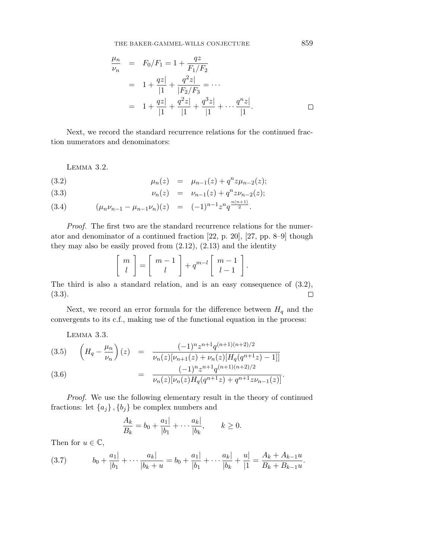THE BAKER-GAMMEL-WILLS CONJECTURE

$$
\frac{\mu_n}{\nu_n} = F_0/F_1 = 1 + \frac{qz}{F_1/F_2}
$$
  
=  $1 + \frac{qz}{|1} + \frac{q^2z}{|F_2/F_3} = \cdots$   
=  $1 + \frac{qz}{|1} + \frac{q^2z}{|1} + \frac{q^3z}{|1} + \cdots + \frac{q^nz}{|1}.$ 

Next, we record the standard recurrence relations for the continued fraction numerators and denominators:

Lemma 3.2.

(3.2) 
$$
\mu_n(z) = \mu_{n-1}(z) + q^n z \mu_{n-2}(z);
$$

(3.3) 
$$
\nu_n(z) = \nu_{n-1}(z) + q^n z \nu_{n-2}(z);
$$

$$
(3.4) \qquad (\mu_n \nu_{n-1} - \mu_{n-1} \nu_n)(z) = (-1)^{n-1} z^n q^{\frac{n(n+1)}{2}}.
$$

Proof. The first two are the standard recurrence relations for the numerator and denominator of a continued fraction [22, p. 20], [27, pp. 8–9] though they may also be easily proved from  $(2.12)$ ,  $(2.13)$  and the identity

$$
\left[\begin{array}{c}m\\l\end{array}\right]=\left[\begin{array}{c}m-1\\l\end{array}\right]+q^{m-l}\left[\begin{array}{c}m-1\\l-1\end{array}\right].
$$

The third is also a standard relation, and is an easy consequence of (3.2), (3.3).  $\Box$ 

Next, we record an error formula for the difference between  $H_q$  and the convergents to its c.f., making use of the functional equation in the process:

Lemma 3.3.

$$
(3.5) \quad \left(H_q - \frac{\mu_n}{\nu_n}\right)(z) = \frac{(-1)^n z^{n+1} q^{(n+1)(n+2)/2}}{\nu_n(z)[\nu_{n+1}(z) + \nu_n(z)[H_q(q^{n+1}z) - 1]]}
$$
\n
$$
(3.6) \quad = \frac{(-1)^n z^{n+1} q^{(n+1)(n+2)/2}}{\nu_n(z)[H_q(q^{n+1}z) - 1]}
$$

(3.6) = 
$$
\frac{1}{\nu_n(z)[\nu_n(z)H_q(q^{n+1}z) + q^{n+1}z\nu_{n-1}(z)]}.
$$

Proof. We use the following elementary result in the theory of continued fractions: let  ${a_j}$ ,  ${b_j}$  be complex numbers and

$$
\frac{A_k}{B_k} = b_0 + \frac{a_1|}{|b_1|} + \dots + \frac{a_k|}{|b_k|}, \qquad k \ge 0.
$$

Then for  $u \in \mathbb{C}$ ,

$$
(3.7) \t b_0 + \frac{a_1}{|b_1|} + \cdots + \frac{a_k}{|b_k + u|} = b_0 + \frac{a_1}{|b_1|} + \cdots + \frac{a_k}{|b_k|} + \frac{u}{|1|} = \frac{A_k + A_{k-1}u}{B_k + B_{k-1}u}.
$$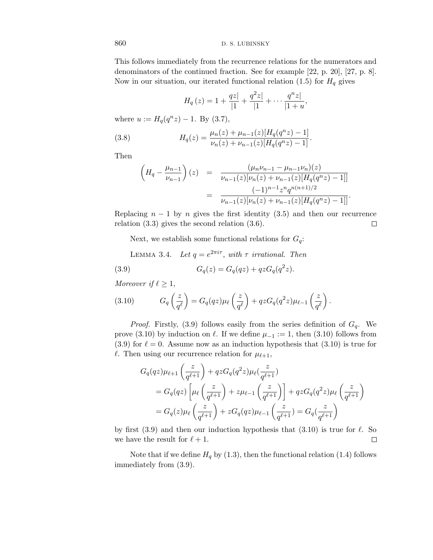This follows immediately from the recurrence relations for the numerators and denominators of the continued fraction. See for example [22, p. 20], [27, p. 8]. Now in our situation, our iterated functional relation  $(1.5)$  for  $H<sub>q</sub>$  gives

$$
H_q(z) = 1 + \frac{qz}{|1|} + \frac{q^2z}{|1|} + \dots + \frac{q^nz}{|1+u|},
$$

where  $u := H_q(q^n z) - 1$ . By (3.7),

(3.8) 
$$
H_q(z) = \frac{\mu_n(z) + \mu_{n-1}(z)[H_q(q^n z) - 1]}{\nu_n(z) + \nu_{n-1}(z)[H_q(q^n z) - 1]}.
$$

Then

$$
\begin{aligned}\n\left(H_q - \frac{\mu_{n-1}}{\nu_{n-1}}\right)(z) &= \frac{(\mu_n \nu_{n-1} - \mu_{n-1} \nu_n)(z)}{\nu_{n-1}(z)[\nu_n(z) + \nu_{n-1}(z)[H_q(q^n z) - 1]]} \\
&= \frac{(-1)^{n-1} z^n q^{n(n+1)/2}}{\nu_{n-1}(z)[\nu_n(z) + \nu_{n-1}(z)[H_q(q^n z) - 1]]}.\n\end{aligned}
$$

Replacing  $n-1$  by  $n$  gives the first identity (3.5) and then our recurrence relation (3.3) gives the second relation (3.6).  $\Box$ 

Next, we establish some functional relations for  $G_q$ :

LEMMA 3.4. Let 
$$
q = e^{2\pi i\tau}
$$
, with  $\tau$  irrational. Then  
(3.9) 
$$
G_q(z) = G_q(qz) + qzG_q(q^2z).
$$

Moreover if  $\ell \geq 1$ ,

(3.10) 
$$
G_q\left(\frac{z}{q^{\ell}}\right) = G_q(qz)\mu_{\ell}\left(\frac{z}{q^{\ell}}\right) + qzG_q(q^2z)\mu_{\ell-1}\left(\frac{z}{q^{\ell}}\right).
$$

*Proof.* Firstly, (3.9) follows easily from the series definition of  $G_q$ . We prove (3.10) by induction on  $\ell$ . If we define  $\mu_{-1} := 1$ , then (3.10) follows from  $(3.9)$  for  $\ell = 0$ . Assume now as an induction hypothesis that  $(3.10)$  is true for  $\ell$ . Then using our recurrence relation for  $\mu_{\ell+1}$ ,

$$
G_q(qz)\mu_{\ell+1}\left(\frac{z}{q^{\ell+1}}\right) + qzG_q(q^2z)\mu_{\ell}\left(\frac{z}{q^{\ell+1}}\right)
$$
  
=  $G_q(qz)\left[\mu_{\ell}\left(\frac{z}{q^{\ell+1}}\right) + z\mu_{\ell-1}\left(\frac{z}{q^{\ell+1}}\right)\right] + qzG_q(q^2z)\mu_{\ell}\left(\frac{z}{q^{\ell+1}}\right)$   
=  $G_q(z)\mu_{\ell}\left(\frac{z}{q^{\ell+1}}\right) + zG_q(qz)\mu_{\ell-1}\left(\frac{z}{q^{\ell+1}}\right) = G_q(\frac{z}{q^{\ell+1}})$ 

by first (3.9) and then our induction hypothesis that (3.10) is true for  $\ell$ . So we have the result for  $\ell + 1$ .  $\Box$ 

Note that if we define  $H_q$  by (1.3), then the functional relation (1.4) follows immediately from (3.9).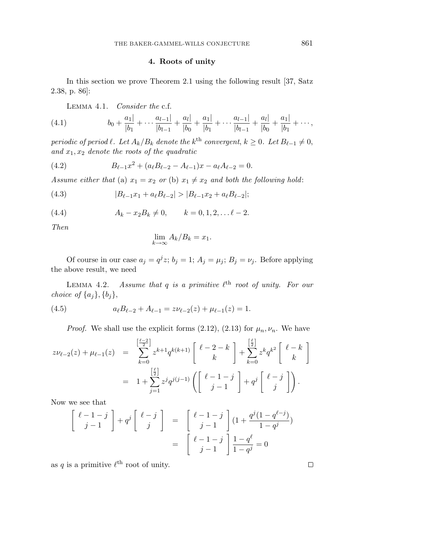#### **4. Roots of unity**

In this section we prove Theorem 2.1 using the following result [37, Satz 2.38, p. 86]:

Lemma 4.1. Consider the c.f.

(4.1) 
$$
b_0 + \frac{a_1}{|b_1} + \cdots + \frac{a_{l-1}|}{|b_{l-1}} + \frac{a_l|}{|b_0} + \frac{a_1|}{|b_1} + \cdots + \frac{a_{l-1}|}{|b_{l-1}} + \frac{a_l|}{|b_0} + \frac{a_1|}{|b_1} + \cdots,
$$

periodic of period  $\ell$ . Let  $A_k/B_k$  denote the  $k^{\text{th}}$  convergent,  $k \geq 0$ . Let  $B_{\ell-1} \neq 0$ , and  $x_1, x_2$  denote the roots of the quadratic

(4.2) 
$$
B_{\ell-1}x^2 + (a_{\ell}B_{\ell-2} - A_{\ell-1})x - a_{\ell}A_{\ell-2} = 0.
$$

Assume either that (a)  $x_1 = x_2$  or (b)  $x_1 \neq x_2$  and both the following hold:

(4.3) 
$$
|B_{\ell-1}x_1 + a_{\ell}B_{\ell-2}| > |B_{\ell-1}x_2 + a_{\ell}B_{\ell-2}|;
$$

(4.4) 
$$
A_k - x_2 B_k \neq 0, \qquad k = 0, 1, 2, \dots \ell - 2.
$$

Then

$$
\lim_{k \to \infty} A_k / B_k = x_1.
$$

Of course in our case  $a_j = q^j z$ ;  $b_j = 1$ ;  $A_j = \mu_j$ ;  $B_j = \nu_j$ . Before applying the above result, we need

LEMMA 4.2. Assume that  $q$  is a primitive  $\ell^{\text{th}}$  root of unity. For our choice of  $\{a_j\}$ ,  $\{b_j\}$ ,

(4.5) 
$$
a_{\ell}B_{\ell-2} + A_{\ell-1} = z\nu_{\ell-2}(z) + \mu_{\ell-1}(z) = 1.
$$

*Proof.* We shall use the explicit forms  $(2.12)$ ,  $(2.13)$  for  $\mu_n, \nu_n$ . We have

$$
z\nu_{\ell-2}(z) + \mu_{\ell-1}(z) = \sum_{k=0}^{\left[\frac{\ell-2}{2}\right]} z^{k+1} q^{k(k+1)} \begin{bmatrix} \ell-2-k \\ k \end{bmatrix} + \sum_{k=0}^{\left[\frac{\ell}{2}\right]} z^k q^{k^2} \begin{bmatrix} \ell-k \\ k \end{bmatrix}
$$

$$
= 1 + \sum_{j=1}^{\left[\frac{\ell}{2}\right]} z^j q^{j(j-1)} \left( \begin{bmatrix} \ell-1-j \\ j-1 \end{bmatrix} + q^j \begin{bmatrix} \ell-j \\ j \end{bmatrix} \right).
$$

Now we see that

$$
\begin{bmatrix}\n\ell - 1 - j \\
j - 1\n\end{bmatrix} + q^j \begin{bmatrix}\n\ell - j \\
j\n\end{bmatrix} = \begin{bmatrix}\n\ell - 1 - j \\
j - 1\n\end{bmatrix} (1 + \frac{q^j (1 - q^{\ell - j})}{1 - q^j})
$$

$$
= \begin{bmatrix}\n\ell - 1 - j \\
j - 1\n\end{bmatrix} \frac{1 - q^{\ell}}{1 - q^j} = 0
$$

as *q* is a primitive  $\ell^{\text{th}}$  root of unity.

 $\Box$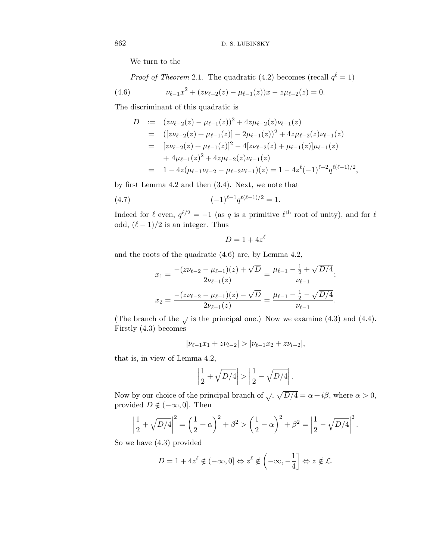We turn to the

*Proof of Theorem* 2.1. The quadratic (4.2) becomes (recall  $q^{\ell} = 1$ )

(4.6) 
$$
\nu_{\ell-1}x^2 + (z\nu_{\ell-2}(z) - \mu_{\ell-1}(z))x - z\mu_{\ell-2}(z) = 0.
$$

The discriminant of this quadratic is

$$
D := (z\nu_{\ell-2}(z) - \mu_{\ell-1}(z))^2 + 4z\mu_{\ell-2}(z)\nu_{\ell-1}(z)
$$
  
\n
$$
= ([z\nu_{\ell-2}(z) + \mu_{\ell-1}(z)] - 2\mu_{\ell-1}(z))^2 + 4z\mu_{\ell-2}(z)\nu_{\ell-1}(z)
$$
  
\n
$$
= [z\nu_{\ell-2}(z) + \mu_{\ell-1}(z)]^2 - 4[z\nu_{\ell-2}(z) + \mu_{\ell-1}(z)]\mu_{\ell-1}(z)
$$
  
\n
$$
+ 4\mu_{\ell-1}(z)^2 + 4z\mu_{\ell-2}(z)\nu_{\ell-1}(z)
$$
  
\n
$$
= 1 - 4z(\mu_{\ell-1}\nu_{\ell-2} - \mu_{\ell-2}\nu_{\ell-1})(z) = 1 - 4z^{\ell}(-1)^{\ell-2}q^{\ell(\ell-1)/2},
$$

by first Lemma 4.2 and then (3.4). Next, we note that

(4.7) 
$$
(-1)^{\ell-1} q^{\ell(\ell-1)/2} = 1.
$$

Indeed for  $\ell$  even,  $q^{\ell/2} = -1$  (as q is a primitive  $\ell^{\text{th}}$  root of unity), and for  $\ell$ odd,  $(\ell - 1)/2$  is an integer. Thus

$$
D=1+4z^{\ell}
$$

and the roots of the quadratic (4.6) are, by Lemma 4.2,

$$
x_1 = \frac{-(z\nu_{\ell-2} - \mu_{\ell-1})(z) + \sqrt{D}}{2\nu_{\ell-1}(z)} = \frac{\mu_{\ell-1} - \frac{1}{2} + \sqrt{D/4}}{\nu_{\ell-1}};
$$
  

$$
x_2 = \frac{-(z\nu_{\ell-2} - \mu_{\ell-1})(z) - \sqrt{D}}{2\nu_{\ell-1}(z)} = \frac{\mu_{\ell-1} - \frac{1}{2} - \sqrt{D/4}}{\nu_{\ell-1}}.
$$

(The branch of the  $\sqrt{\ }$  is the principal one.) Now we examine (4.3) and (4.4). Firstly (4.3) becomes

$$
|\nu_{\ell-1}x_1 + z\nu_{l-2}| > |\nu_{\ell-1}x_2 + z\nu_{l-2}|,
$$

that is, in view of Lemma 4.2,

$$
\left| \frac{1}{2} + \sqrt{D/4} \right| > \left| \frac{1}{2} - \sqrt{D/4} \right|.
$$

Now by our choice of the principal branch of  $\sqrt{D/4} = \alpha + i\beta$ , where  $\alpha > 0$ , provided  $D \notin (-\infty, 0]$ . Then

$$
\left|\frac{1}{2} + \sqrt{D/4}\right|^2 = \left(\frac{1}{2} + \alpha\right)^2 + \beta^2 > \left(\frac{1}{2} - \alpha\right)^2 + \beta^2 = \left|\frac{1}{2} - \sqrt{D/4}\right|^2.
$$

So we have (4.3) provided

$$
D = 1 + 4z^{\ell} \notin (-\infty, 0] \Leftrightarrow z^{\ell} \notin \left(-\infty, -\frac{1}{4}\right] \Leftrightarrow z \notin \mathcal{L}.
$$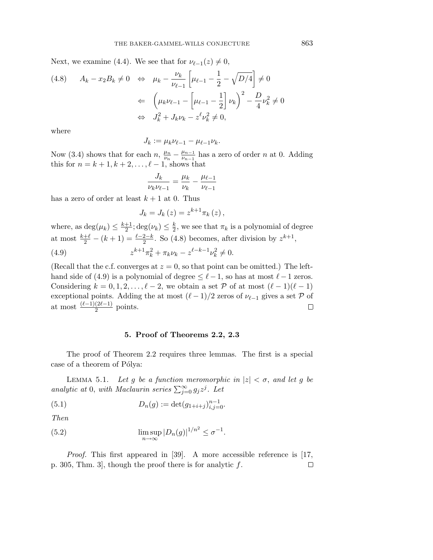Next, we examine (4.4). We see that for  $\nu_{\ell-1}(z) \neq 0$ ,

$$
(4.8) \quad A_k - x_2 B_k \neq 0 \quad \Leftrightarrow \quad \mu_k - \frac{\nu_k}{\nu_{\ell-1}} \left[ \mu_{\ell-1} - \frac{1}{2} - \sqrt{D/4} \right] \neq 0
$$

$$
\leftarrow \quad \left( \mu_k \nu_{\ell-1} - \left[ \mu_{\ell-1} - \frac{1}{2} \right] \nu_k \right)^2 - \frac{D}{4} \nu_k^2 \neq 0
$$

$$
\Leftrightarrow \quad J_k^2 + J_k \nu_k - z^{\ell} \nu_k^2 \neq 0,
$$

where

$$
J_k := \mu_k \nu_{\ell-1} - \mu_{\ell-1} \nu_k.
$$

Now (3.4) shows that for each  $n, \frac{\mu_n}{\nu_n} - \frac{\mu_{n-1}}{\nu_{n-1}}$  has a zero of order *n* at 0. Adding this for  $n = k + 1, k + 2, \ldots, \ell - 1$ , shows that

$$
\frac{J_k}{\nu_k \nu_{\ell-1}} = \frac{\mu_k}{\nu_k} - \frac{\mu_{\ell-1}}{\nu_{\ell-1}}
$$

has a zero of order at least  $k + 1$  at 0. Thus

$$
J_k = J_k(z) = z^{k+1} \pi_k(z),
$$

where, as  $\deg(\mu_k) \leq \frac{k+1}{2}$ ;  $\deg(\nu_k) \leq \frac{k}{2}$ , we see that  $\pi_k$  is a polynomial of degree at most  $\frac{k+\ell}{2} - (k+1) = \frac{\ell-2-k}{2}$ . So (4.8) becomes, after division by  $z^{k+1}$ , (4.9)  $z^{k+1}\pi_k^2 + \pi_k\nu_k - z^{\ell-k-1}\nu_k^2 \neq 0.$ 

(Recall that the c.f. converges at  $z = 0$ , so that point can be omitted.) The lefthand side of (4.9) is a polynomial of degree  $\leq \ell - 1$ , so has at most  $\ell - 1$  zeros. Considering  $k = 0, 1, 2, \ldots, \ell - 2$ , we obtain a set P of at most  $(\ell - 1)(\ell - 1)$ exceptional points. Adding the at most  $(\ell - 1)/2$  zeros of  $\nu_{\ell-1}$  gives a set P of at most  $\frac{(\ell-1)(2\ell-1)}{2}$  points.  $\Box$ 

### **5. Proof of Theorems 2.2, 2.3**

The proof of Theorem 2.2 requires three lemmas. The first is a special case of a theorem of Pólya:

LEMMA 5.1. Let *g* be a function meromorphic in  $|z| < \sigma$ , and let *g* be analytic at 0, with Maclaurin series  $\sum_{j=0}^{\infty} g_j z^j$ . Let

(5.1) 
$$
D_n(g) := \det(g_{1+i+j})_{i,j=0}^{n-1}.
$$

Then

(5.2) 
$$
\limsup_{n \to \infty} |D_n(g)|^{1/n^2} \le \sigma^{-1}.
$$

Proof. This first appeared in [39]. A more accessible reference is [17, p. 305, Thm. 3], though the proof there is for analytic *f*. $\Box$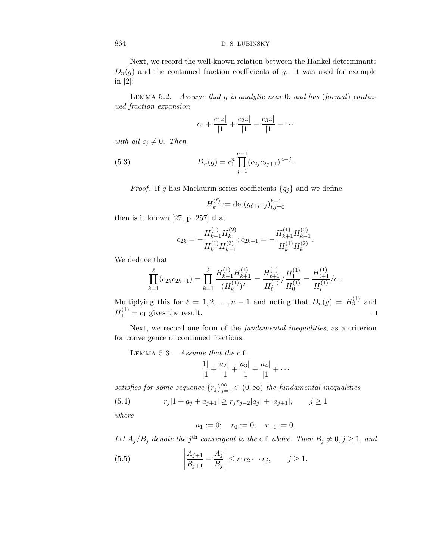Next, we record the well-known relation between the Hankel determinants  $D_n(g)$  and the continued fraction coefficients of *g*. It was used for example in [2]:

Lemma 5.2. Assume that *g* is analytic near 0, and has (formal) continued fraction expansion

$$
c_0 + \frac{c_1 z}{|1} + \frac{c_2 z}{|1} + \frac{c_3 z}{|1} + \cdots
$$

with all  $c_j \neq 0$ . Then

(5.3) 
$$
D_n(g) = c_1^n \prod_{j=1}^{n-1} (c_{2j}c_{2j+1})^{n-j}.
$$

*Proof.* If *g* has Maclaurin series coefficients  ${g_j}$  and we define

$$
H_k^{(\ell)} := \det(g_{\ell+i+j})_{i,j=0}^{k-1}
$$

then is it known [27, p. 257] that

$$
c_{2k} = -\frac{H_{k-1}^{(1)}H_k^{(2)}}{H_k^{(1)}H_{k-1}^{(2)}}; c_{2k+1} = -\frac{H_{k+1}^{(1)}H_{k-1}^{(2)}}{H_k^{(1)}H_k^{(2)}}.
$$

We deduce that

$$
\prod_{k=1}^{\ell} (c_{2k}c_{2k+1}) = \prod_{k=1}^{\ell} \frac{H_{k-1}^{(1)}H_{k+1}^{(1)}}{(H_k^{(1)})^2} = \frac{H_{\ell+1}^{(1)}}{H_{\ell}^{(1)}} / \frac{H_1^{(1)}}{H_0^{(1)}} = \frac{H_{\ell+1}^{(1)}}{H_l^{(1)}} / c_1.
$$

Multiplying this for  $\ell = 1, 2, ..., n-1$  and noting that  $D_n(g) = H_n^{(1)}$  and  $H_1^{(1)} = c_1$  gives the result.  $\Box$ 

Next, we record one form of the fundamental inequalities, as a criterion for convergence of continued fractions:

Lemma 5.3. Assume that the c.f.

$$
\frac{1|}{|1} + \frac{a_2|}{|1} + \frac{a_3|}{|1} + \frac{a_4|}{|1} + \cdots
$$

satisfies for some sequence  ${r_j}_{j=1}^{\infty} \subset (0,\infty)$  the fundamental inequalities

(5.4) 
$$
r_j|1+a_j+a_{j+1}| \ge r_jr_{j-2}|a_j|+|a_{j+1}|, \qquad j \ge 1
$$

where

$$
a_1 := 0;
$$
  $r_0 := 0;$   $r_{-1} := 0.$ 

Let  $A_j/B_j$  denote the *j*<sup>th</sup> convergent to the c.f. above. Then  $B_j \neq 0, j \geq 1$ , and

(5.5) 
$$
\left| \frac{A_{j+1}}{B_{j+1}} - \frac{A_j}{B_j} \right| \le r_1 r_2 \cdots r_j, \qquad j \ge 1.
$$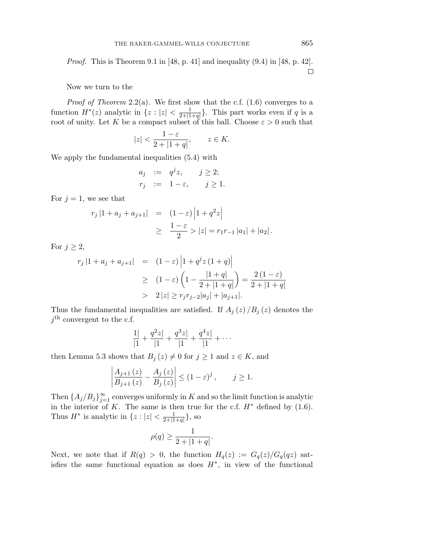*Proof.* This is Theorem 9.1 in [48, p. 41] and inequality  $(9.4)$  in [48, p. 42].  $\Box$ 

Now we turn to the

*Proof of Theorem* 2.2(a). We first show that the c.f.  $(1.6)$  converges to a function  $H^*(z)$  analytic in  $\{z : |z| < \frac{1}{2+|1+q|}\}$ . This part works even if *q* is a root of unity. Let *K* be a compact subset of this ball. Choose  $\varepsilon > 0$  such that

$$
|z| < \frac{1-\varepsilon}{2+|1+q|}, \qquad z \in K.
$$

We apply the fundamental inequalities (5.4) with

$$
a_j := q^j z, \quad j \ge 2;
$$
  

$$
r_j := 1 - \varepsilon, \quad j \ge 1.
$$

For  $j = 1$ , we see that

$$
r_j |1 + a_j + a_{j+1}| = (1 - \varepsilon) |1 + q^2 z|
$$
  
 
$$
\geq \frac{1 - \varepsilon}{2} > |z| = r_1 r_{-1} |a_1| + |a_2|.
$$

For  $j \geq 2$ ,

$$
r_j |1 + a_j + a_{j+1}| = (1 - \varepsilon) |1 + q^j z (1 + q)|
$$
  
\n
$$
\geq (1 - \varepsilon) (1 - \frac{|1 + q|}{2 + |1 + q|}) = \frac{2 (1 - \varepsilon)}{2 + |1 + q|}
$$
  
\n
$$
> 2 |z| \geq r_j r_{j-2} |a_j| + |a_{j+1}|.
$$

Thus the fundamental inequalities are satisfied. If  $A_j(z)/B_j(z)$  denotes the  $j<sup>th</sup>$  convergent to the c.f.

$$
\frac{1|}{|1|} + \frac{q^2z|}{|1|} + \frac{q^3z|}{|1|} + \frac{q^4z|}{|1|} + \cdots
$$

then Lemma 5.3 shows that  $B_j(z) \neq 0$  for  $j \geq 1$  and  $z \in K$ , and

$$
\left| \frac{A_{j+1}(z)}{B_{j+1}(z)} - \frac{A_j(z)}{B_j(z)} \right| \le (1 - \varepsilon)^j, \qquad j \ge 1.
$$

Then  $\{A_j/B_j\}_{j=1}^{\infty}$  converges uniformly in *K* and so the limit function is analytic in the interior of *K*. The same is then true for the c.f.  $H^*$  defined by  $(1.6)$ . Thus  $H^*$  is analytic in  $\{z : |z| < \frac{1}{2+|1+q|}\}$ , so

$$
\rho(q) \ge \frac{1}{2 + |1 + q|}.
$$

Next, we note that if  $R(q) > 0$ , the function  $H_q(z) := G_q(z)/G_q(qz)$  satisfies the same functional equation as does  $H^*$ , in view of the functional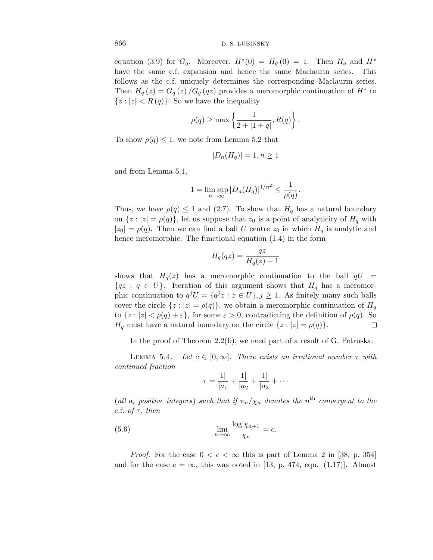equation (3.9) for  $G_q$ . Moreover,  $H^*(0) = H_q(0) = 1$ . Then  $H_q$  and  $H^*$ have the same c.f. expansion and hence the same Maclaurin series. This follows as the c.f. uniquely determines the corresponding Maclaurin series. Then  $H_q(z) = G_q(z)/G_q(qz)$  provides a meromorphic continuation of  $H^*$  to  ${z : |z| < R(q)}$ . So we have the inequality

$$
\rho(q) \ge \max\left\{\frac{1}{2 + |1+q|}, R(q)\right\}.
$$

To show  $\rho(q) \leq 1$ , we note from Lemma 5.2 that

$$
|D_n(H_q)| = 1, n \ge 1
$$

and from Lemma 5.1,

$$
1 = \limsup_{n \to \infty} |D_n(H_q)|^{1/n^2} \le \frac{1}{\rho(q)}.
$$

Thus, we have  $\rho(q) \leq 1$  and (2.7). To show that  $H_q$  has a natural boundary on  $\{z : |z| = \rho(q)\}$ , let us suppose that  $z_0$  is a point of analyticity of  $H_q$  with  $|z_0| = \rho(q)$ . Then we can find a ball *U* centre  $z_0$  in which  $H_q$  is analytic and hence meromorphic. The functional equation (1.4) in the form

$$
H_q(qz) = \frac{qz}{H_q(z) - 1}
$$

shows that  $H_q(z)$  has a meromorphic continuation to the ball  $qU =$  ${qz : q \in U}$ . Iteration of this argument shows that  $H_q$  has a meromorphic continuation to  $q^{j}U = \{q^{j}z : z \in U\}, j \geq 1$ . As finitely many such balls cover the circle  $\{z : |z| = \rho(q)\}$ , we obtain a meromorphic continuation of  $H_q$ to  $\{z : |z| < \rho(q) + \varepsilon\}$ , for some  $\varepsilon > 0$ , contradicting the definition of  $\rho(q)$ . So *H*<sub>q</sub> must have a natural boundary on the circle  $\{z : |z| = \rho(q)\}.$  $\Box$ 

In the proof of Theorem 2.2(b), we need part of a result of G. Petruska:

LEMMA 5.4. Let  $c \in [0,\infty]$ . There exists an irrational number  $\tau$  with continued fraction

$$
\tau = \frac{1}{|a_1|} + \frac{1}{|a_2|} + \frac{1}{|a_3|} + \cdots
$$

(all  $a_i$  positive integers) such that if  $\pi_n/\chi_n$  denotes the  $n^{\text{th}}$  convergent to the c.f. *of*  $\tau$ *, then* 

(5.6) 
$$
\lim_{n \to \infty} \frac{\log \chi_{n+1}}{\chi_n} = c.
$$

*Proof.* For the case  $0 < c < \infty$  this is part of Lemma 2 in [38, p. 354] and for the case  $c = \infty$ , this was noted in [13, p. 474, eqn. (1.17)]. Almost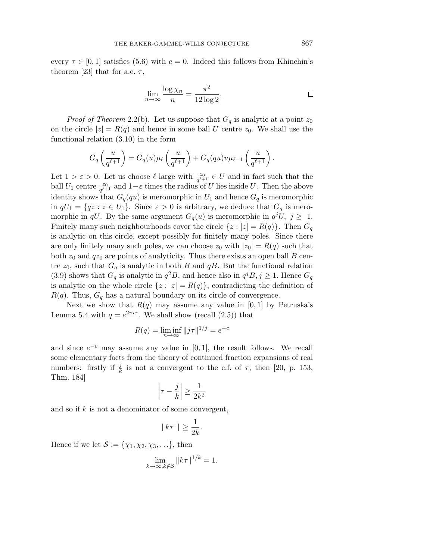every  $\tau \in [0, 1]$  satisfies (5.6) with  $c = 0$ . Indeed this follows from Khinchin's theorem [23] that for a.e.  $\tau$ ,

$$
\lim_{n \to \infty} \frac{\log \chi_n}{n} = \frac{\pi^2}{12 \log 2}.
$$

*Proof of Theorem* 2.2(b). Let us suppose that  $G_q$  is analytic at a point  $z_0$ on the circle  $|z| = R(q)$  and hence in some ball *U* centre  $z_0$ . We shall use the functional relation (3.10) in the form

$$
G_q\left(\frac{u}{q^{\ell+1}}\right) = G_q(u)\mu_\ell\left(\frac{u}{q^{\ell+1}}\right) + G_q(qu)u\mu_{\ell-1}\left(\frac{u}{q^{\ell+1}}\right).
$$

Let  $1 > \varepsilon > 0$ . Let us choose  $\ell$  large with  $\frac{z_0}{q^{\ell+1}} \in U$  and in fact such that the ball  $U_1$  centre  $\frac{z_0}{q^{\ell+1}}$  and  $1-\varepsilon$  times the radius of *U* lies inside *U*. Then the above identity shows that  $G_q(qu)$  is meromorphic in  $U_1$  and hence  $G_q$  is meromorphic in  $qU_1 = \{qz : z \in U_1\}$ . Since  $\varepsilon > 0$  is arbitrary, we deduce that  $G_q$  is meromorphic in *qU*. By the same argument  $G_q(u)$  is meromorphic in  $q^jU$ ,  $j \geq 1$ . Finitely many such neighbourhoods cover the circle  $\{z : |z| = R(q)\}\$ . Then  $G_q$ is analytic on this circle, except possibly for finitely many poles. Since there are only finitely many such poles, we can choose  $z_0$  with  $|z_0| = R(q)$  such that both  $z_0$  and  $qz_0$  are points of analyticity. Thus there exists an open ball *B* centre  $z_0$ , such that  $G_q$  is analytic in both *B* and  $qB$ . But the functional relation (3.9) shows that  $G_q$  is analytic in  $q^2B$ , and hence also in  $q^jB$ ,  $j \geq 1$ . Hence  $G_q$ is analytic on the whole circle  $\{z : |z| = R(q)\}$ , contradicting the definition of  $R(q)$ . Thus,  $G_q$  has a natural boundary on its circle of convergence.

Next we show that  $R(q)$  may assume any value in [0, 1] by Petruska's Lemma 5.4 with  $q = e^{2\pi i \tau}$ . We shall show (recall (2.5)) that

$$
R(q) = \liminf_{n \to \infty} ||j\tau||^{1/j} = e^{-c}
$$

and since  $e^{-c}$  may assume any value in [0, 1], the result follows. We recall some elementary facts from the theory of continued fraction expansions of real numbers: firstly if  $\frac{j}{k}$  is not a convergent to the c.f. of  $\tau$ , then [20, p. 153, Thm. 184]

$$
\left|\tau - \frac{j}{k}\right| \ge \frac{1}{2k^2}
$$

and so if *k* is not a denominator of some convergent,

$$
||k\tau|| \ge \frac{1}{2k}.
$$

Hence if we let  $\mathcal{S} := {\chi_1, \chi_2, \chi_3, \ldots}$ , then

$$
\lim_{k \to \infty, k \notin \mathcal{S}} \|k\tau\|^{1/k} = 1.
$$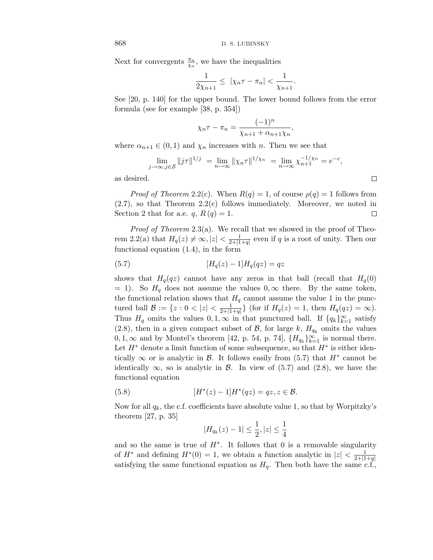Next for convergents  $\frac{\pi_n}{\chi_n}$ , we have the inequalities

$$
\frac{1}{2\chi_{n+1}} \leq \left|\chi_n \tau - \pi_n\right| < \frac{1}{\chi_{n+1}}.
$$

See [20, p. 140] for the upper bound. The lower bound follows from the error formula (see for example [38, p. 354])

$$
\chi_n \tau - \pi_n = \frac{(-1)^n}{\chi_{n+1} + \alpha_{n+1} \chi_n},
$$

where  $\alpha_{n+1} \in (0,1)$  and  $\chi_n$  increases with *n*. Then we see that

$$
\lim_{j \to \infty, j \in \mathcal{S}} ||j\tau||^{1/j} = \lim_{n \to \infty} ||\chi_n \tau||^{1/\chi_n} = \lim_{n \to \infty} \chi_{n+1}^{-1/\chi_n} = e^{-c},
$$

 $\Box$ 

as desired.

*Proof of Theorem* 2.2(c). When  $R(q) = 1$ , of course  $\rho(q) = 1$  follows from (2.7), so that Theorem 2.2(c) follows immediately. Moreover, we noted in Section 2 that for a.e.  $q, R(q) = 1$ .  $\Box$ 

*Proof of Theorem* 2.3(a). We recall that we showed in the proof of Theorem 2.2(a) that  $H_q(z) \neq \infty, |z| < \frac{1}{2+|1+q|}$  even if *q* is a root of unity. Then our functional equation (1.4), in the form

(5.7) 
$$
[H_q(z) - 1]H_q(qz) = qz
$$

shows that  $H_q(qz)$  cannot have any zeros in that ball (recall that  $H_q(0)$  $= 1$ ). So *H*<sub>q</sub> does not assume the values 0,∞ there. By the same token, the functional relation shows that  $H_q$  cannot assume the value 1 in the punctured ball  $\mathcal{B} := \{z : 0 < |z| < \frac{1}{2+|1+q|}\}\$  (for if  $H_q(z) = 1$ , then  $H_q(qz) = \infty$ ). Thus  $H_q$  omits the values  $0, 1, \infty$  in that punctured ball. If  $\{q_k\}_{k=1}^{\infty}$  satisfy (2.8), then in a given compact subset of  $\mathcal{B}$ , for large  $k$ ,  $H_{q_k}$  omits the values 0, 1, ∞ and by Montel's theorem [42, p. 54, p. 74],  $\{H_{q_k}\}_{k=1}^{\infty}$  is normal there. Let *H*∗ denote a limit function of some subsequence, so that *H*∗ is either identically  $\infty$  or is analytic in B. It follows easily from (5.7) that  $H^*$  cannot be identically  $\infty$ , so is analytic in B. In view of (5.7) and (2.8), we have the functional equation

(5.8) 
$$
[H^*(z) - 1]H^*(qz) = qz, z \in \mathcal{B}.
$$

Now for all  $q_k$ , the c.f. coefficients have absolute value 1, so that by Worpitzky's theorem [27, p. 35]

$$
|H_{q_k}(z) - 1| \le \frac{1}{2}, |z| \le \frac{1}{4}
$$

and so the same is true of  $H^*$ . It follows that 0 is a removable singularity of  $H^*$  and defining  $H^*(0) = 1$ , we obtain a function analytic in  $|z| < \frac{1}{2+|1+q|}$ satisfying the same functional equation as  $H_q$ . Then both have the same c.f.,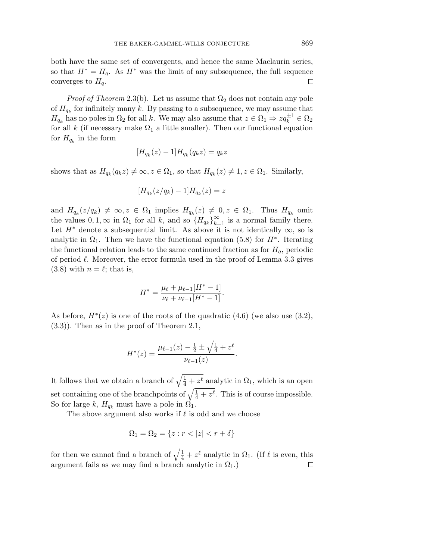both have the same set of convergents, and hence the same Maclaurin series, so that  $H^* = H_q$ . As  $H^*$  was the limit of any subsequence, the full sequence converges to  $H_q$ .  $\Box$ 

*Proof of Theorem* 2.3(b). Let us assume that  $\Omega_2$  does not contain any pole of  $H_{q_k}$  for infinitely many k. By passing to a subsequence, we may assume that  $H_{q_k}$  has no poles in  $\Omega_2$  for all *k*. We may also assume that  $z \in \Omega_1 \Rightarrow zq_k^{\pm 1} \in \Omega_2$ for all  $k$  (if necessary make  $\Omega_1$  a little smaller). Then our functional equation for  $H_{q_k}$  in the form

$$
[H_{q_k}(z) - 1]H_{q_k}(q_k z) = q_k z
$$

shows that as  $H_{q_k}(q_k z) \neq \infty, z \in \Omega_1$ , so that  $H_{q_k}(z) \neq 1, z \in \Omega_1$ . Similarly,

$$
[H_{q_k}(z/q_k) - 1]H_{q_k}(z) = z
$$

and  $H_{q_k}(z/q_k) \neq \infty, z \in \Omega_1$  implies  $H_{q_k}(z) \neq 0, z \in \Omega_1$ . Thus  $H_{q_k}$  omit the values  $0, 1, \infty$  in  $\Omega_1$  for all *k*, and so  $\{H_{q_k}\}_{k=1}^\infty$  is a normal family there. Let  $H^*$  denote a subsequential limit. As above it is not identically  $\infty$ , so is analytic in  $\Omega_1$ . Then we have the functional equation (5.8) for  $H^*$ . Iterating the functional relation leads to the same continued fraction as for  $H_q$ , periodic of period  $\ell$ . Moreover, the error formula used in the proof of Lemma 3.3 gives  $(3.8)$  with  $n = \ell$ ; that is,

$$
H^* = \frac{\mu_{\ell} + \mu_{\ell-1}[H^*-1]}{\nu_{\ell} + \nu_{\ell-1}[H^*-1]}.
$$

As before,  $H^*(z)$  is one of the roots of the quadratic (4.6) (we also use (3.2), (3.3)). Then as in the proof of Theorem 2.1,

$$
H^*(z) = \frac{\mu_{\ell-1}(z) - \frac{1}{2} \pm \sqrt{\frac{1}{4} + z^{\ell}}}{\nu_{\ell-1}(z)}.
$$

It follows that we obtain a branch of  $\sqrt{\frac{1}{4} + z^{\ell}}$  analytic in  $\Omega_1$ , which is an open set containing one of the branchpoints of  $\sqrt{\frac{1}{4} + z^{\ell}}$ . This is of course impossible. So for large *k*,  $H_{q_k}$  must have a pole in  $\Omega_1$ .

The above argument also works if  $\ell$  is odd and we choose

$$
\Omega_1=\Omega_2=\{z: r<|z|
$$

for then we cannot find a branch of  $\sqrt{\frac{1}{4} + z^{\ell}}$  analytic in  $\Omega_1$ . (If  $\ell$  is even, this argument fails as we may find a branch analytic in  $\Omega_1$ .)  $\Box$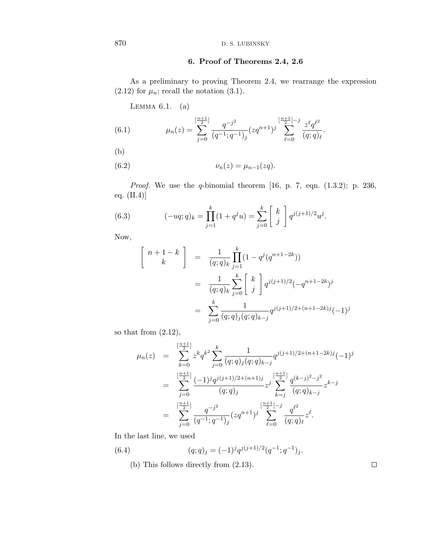## **6. Proof of Theorems 2.4, 2.6**

As a preliminary to proving Theorem 2.4, we rearrange the expression  $(2.12)$  for  $\mu_n$ ; recall the notation  $(3.1)$ .

LEMMA  $6.1.$  (a)

(6.1) 
$$
\mu_n(z) = \sum_{j=0}^{\left[\frac{n+1}{2}\right]} \frac{q^{-j^2}}{(q^{-1}; q^{-1})_j} (zq^{n+1})^j \sum_{\ell=0}^{\left[\frac{n+1}{2}\right]-j} \frac{z^{\ell}q^{\ell^2}}{(q; q)_{\ell}}.
$$

(b)

$$
\nu_n(z) = \mu_{n-1}(zq).
$$

Proof. We use the *q*-binomial theorem [16, p. 7, eqn. (1.3.2); p. 236, eq. (II.4)]

(6.3) 
$$
(-uq;q)_k = \prod_{j=1}^k (1+q^j u) = \sum_{j=0}^k \begin{bmatrix} k \\ j \end{bmatrix} q^{j(j+1)/2} u^j.
$$

Now,

$$
\begin{bmatrix}\nn+1-k \\
k\n\end{bmatrix} = \frac{1}{(q;q)_k} \prod_{j=1}^k (1-q^j(q^{n+1-2k}))
$$
  
\n
$$
= \frac{1}{(q;q)_k} \sum_{j=0}^k \begin{bmatrix} k \\ j \end{bmatrix} q^{j(j+1)/2} (-q^{n+1-2k})^j
$$
  
\n
$$
= \sum_{j=0}^k \frac{1}{(q;q)_j (q;q)_{k-j}} q^{j(j+1)/2 + (n+1-2k)j} (-1)^j
$$

so that from (2.12),

$$
\mu_n(z) = \sum_{k=0}^{\left[\frac{n+1}{2}\right]} z^k q^{k^2} \sum_{j=0}^k \frac{1}{(q;q)_j (q;q)_{k-j}} q^{j(j+1)/2 + (n+1-2k)j} (-1)^j
$$
  

$$
= \sum_{j=0}^{\left[\frac{n+1}{2}\right]} \frac{(-1)^j q^{j(j+1)/2 + (n+1)j}}{(q;q)_j} z^j \sum_{k=j}^{\left[\frac{n+1}{2}\right]} \frac{q^{(k-j)^2-j^2}}{(q;q)_{k-j}} z^{k-j}
$$
  

$$
= \sum_{j=0}^{\left[\frac{n+1}{2}\right]} \frac{q^{-j^2}}{(q^{-1};q^{-1})_j} (z q^{n+1})^j \sum_{\ell=0}^{\left[\frac{n+1}{2}\right]-j} \frac{q^{\ell^2}}{(q;q)_\ell} z^\ell.
$$

In the last line, we used

(6.4) 
$$
(q;q)_j = (-1)^j q^{j(j+1)/2} (q^{-1};q^{-1})_j.
$$

(b) This follows directly from (2.13).

 $\Box$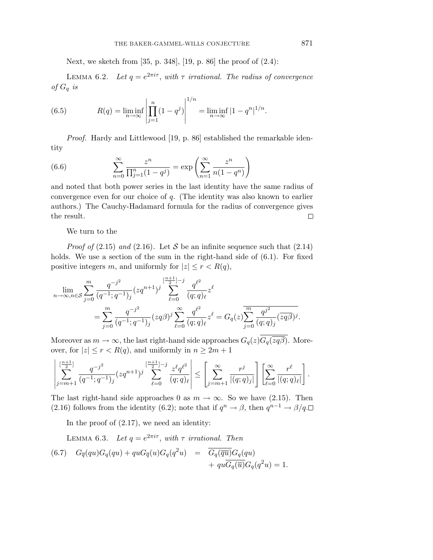Next, we sketch from [35, p. 348], [19, p. 86] the proof of (2.4):

LEMMA 6.2. Let  $q = e^{2\pi i \tau}$ , with  $\tau$  irrational. The radius of convergence of *G*<sup>q</sup> is

(6.5) 
$$
R(q) = \liminf_{n \to \infty} \left| \prod_{j=1}^{n} (1 - q^j) \right|^{1/n} = \liminf_{n \to \infty} |1 - q^n|^{1/n}.
$$

Proof. Hardy and Littlewood [19, p. 86] established the remarkable identity

(6.6) 
$$
\sum_{n=0}^{\infty} \frac{z^n}{\prod_{j=1}^n (1-q^j)} = \exp\left(\sum_{n=1}^{\infty} \frac{z^n}{n(1-q^n)}\right)
$$

and noted that both power series in the last identity have the same radius of convergence even for our choice of *q*. (The identity was also known to earlier authors.) The Cauchy-Hadamard formula for the radius of convergence gives the result.  $\Box$ 

We turn to the

*Proof of* (2.15) and (2.16). Let S be an infinite sequence such that (2.14) holds. We use a section of the sum in the right-hand side of  $(6.1)$ . For fixed positive integers *m*, and uniformly for  $|z| \le r < R(q)$ ,

$$
\lim_{n \to \infty, n \in S} \sum_{j=0}^{m} \frac{q^{-j^2}}{(q^{-1}; q^{-1})_j} (zq^{n+1})^j \sum_{\ell=0}^{\left[\frac{n+1}{2}\right]-j} \frac{q^{\ell^2}}{(q; q)_{\ell}} z^{\ell}
$$
\n
$$
= \sum_{j=0}^{m} \frac{q^{-j^2}}{(q^{-1}; q^{-1})_j} (zq\beta)^j \sum_{\ell=0}^{\infty} \frac{q^{\ell^2}}{(q; q)_{\ell}} z^{\ell} = G_q(z) \overline{\sum_{j=0}^{m} \frac{q^{j^2}}{(q; q)_j} (zq\beta)^j}.
$$

Moreover as  $m \to \infty$ , the last right-hand side approaches  $G_q(z) \overline{G_q(zq\beta)}$ . Moreover, for  $|z| \le r < R(q)$ , and uniformly in  $n \ge 2m + 1$ 

$$
\left| \sum_{j=m+1}^{\lfloor \frac{n+1}{2} \rfloor} \frac{q^{-j^2}}{(q^{-1};q^{-1})_j} (zq^{n+1})^j \sum_{\ell=0}^{\lfloor \frac{n+1}{2} \rfloor -j} \frac{z^{\ell} q^{\ell^2}}{(q;q)_{\ell}} \right| \leq \left[ \sum_{j=m+1}^{\infty} \frac{r^j}{|(q;q)_j|} \right] \left[ \sum_{\ell=0}^{\infty} \frac{r^{\ell}}{|(q;q)_{\ell}|} \right].
$$

The last right-hand side approaches 0 as  $m \to \infty$ . So we have (2.15). Then (2.16) follows from the identity (6.2); note that if  $q^n \to \beta$ , then  $q^{n-1} \to \beta/q$ .

In the proof of (2.17), we need an identity:

LEMMA 6.3. Let 
$$
q = e^{2\pi i \tau}
$$
, with  $\tau$  irrational. Then  
\n(6.7)  $G_{\overline{q}}(qu)G_q(qu) + quG_{\overline{q}}(u)G_q(q^2u) = \frac{\overline{G_q(\overline{qu})}G_q(qu)}{G_q(\overline{u})G_q(q^2u)} + qu\overline{G_q(\overline{u})}G_q(q^2u) = 1.$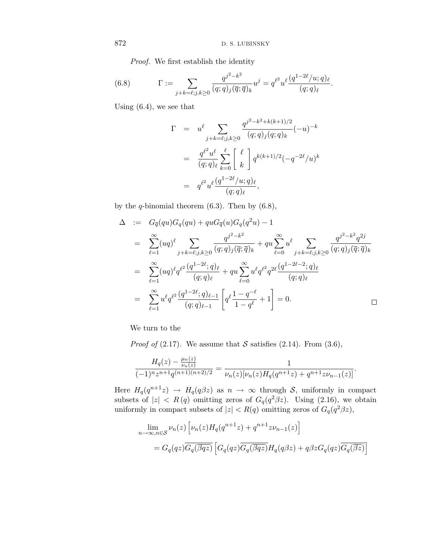Proof. We first establish the identity

(6.8) 
$$
\Gamma := \sum_{j+k=\ell; j,k \geq 0} \frac{q^{j^2 - k^2}}{(q;q)_j(\overline{q};\overline{q})_k} u^j = q^{\ell^2} u^{\ell} \frac{(q^{1-2\ell}/u;q)_{\ell}}{(q;q)_{\ell}}.
$$

Using (6.4), we see that

$$
\Gamma = u^{\ell} \sum_{j+k=\ell;j,k\geq 0} \frac{q^{j^2-k^2+k(k+1)/2}}{(q;q)_j(q;q)_k} (-u)^{-k}
$$

$$
= \frac{q^{\ell^2}u^{\ell}}{(q;q)_{\ell}} \sum_{k=0}^{\ell} \left[ \begin{array}{c} \ell \\ k \end{array} \right] q^{k(k+1)/2} (-q^{-2\ell}/u)^k
$$

$$
= q^{\ell^2} u^{\ell} \frac{(q^{1-2\ell}/u;q)_{\ell}}{(q;q)_{\ell}},
$$

by the *q*-binomial theorem (6.3). Then by (6.8),

$$
\Delta := G_{\overline{q}}(qu)G_q(qu) + quG_{\overline{q}}(u)G_q(q^2u) - 1
$$
\n
$$
= \sum_{\ell=1}^{\infty} (uq)^{\ell} \sum_{j+k=\ell;j,k\geq 0} \frac{q^{j^2-k^2}}{(q;q)_j(\overline{q};\overline{q})_k} + qu \sum_{\ell=0}^{\infty} u^{\ell} \sum_{j+k=\ell;j,k\geq 0} \frac{q^{j^2-k^2}q^{2j}}{(q;q)_j(\overline{q};\overline{q})_k}
$$
\n
$$
= \sum_{\ell=1}^{\infty} (uq)^{\ell} q^{\ell^2} \frac{(q^{1-2\ell};q)_{\ell}}{(q;q)_{\ell}} + qu \sum_{\ell=0}^{\infty} u^{\ell} q^{\ell^2} q^{2\ell} \frac{(q^{1-2\ell-2};q)_{\ell}}{(q;q)_{\ell}}
$$
\n
$$
= \sum_{\ell=1}^{\infty} u^{\ell} q^{\ell^2} \frac{(q^{1-2\ell};q)_{\ell-1}}{(q;q)_{\ell-1}} \left[ q^{\ell} \frac{1-q^{-\ell}}{1-q^{\ell}} + 1 \right] = 0.
$$

We turn to the

*Proof of* (2.17). We assume that S satisfies (2.14). From (3.6),

$$
\frac{H_q(z) - \frac{\mu_n(z)}{\nu_n(z)}}{(-1)^n z^{n+1} q^{(n+1)(n+2)/2}} = \frac{1}{\nu_n(z) [\nu_n(z) H_q(q^{n+1}z) + q^{n+1} z \nu_{n-1}(z)]}.
$$

Here  $H_q(q^{n+1}z) \to H_q(q\beta z)$  as  $n \to \infty$  through S, uniformly in compact subsets of  $|z| < R(q)$  omitting zeros of  $G_q(q^2\beta z)$ . Using (2.16), we obtain uniformly in compact subsets of  $|z| < R(q)$  omitting zeros of  $G_q(q^2\beta z)$ ,

$$
\lim_{n \to \infty, n \in \mathcal{S}} \nu_n(z) \left[ \nu_n(z) H_q(q^{n+1}z) + q^{n+1} z \nu_{n-1}(z) \right]
$$
\n
$$
= G_q(qz) \overline{G_q(\overline{gqz})} \left[ G_q(qz) \overline{G_q(\overline{gqz})} H_q(q\beta z) + q\beta z G_q(qz) \overline{G_q(\overline{gz})} \right]
$$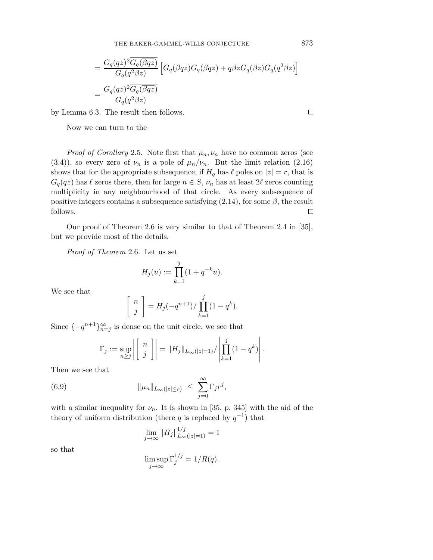THE BAKER-GAMMEL-WILLS CONJECTURE

$$
= \frac{G_q(qz)^2 \overline{G_q(\overline{\beta qz})}}{G_q(q^2\beta z)} \left[ \overline{G_q(\overline{\beta qz})} G_q(\beta qz) + q\beta z \overline{G_q(\overline{\beta z})} G_q(q^2\beta z) \right]
$$
  
= 
$$
\frac{G_q(qz)^2 \overline{G_q(\overline{\beta qz})}}{G_q(q^2\beta z)}
$$

by Lemma 6.3. The result then follows.

Now we can turn to the

*Proof of Corollary* 2.5. Note first that  $\mu_n, \nu_n$  have no common zeros (see (3.4)), so every zero of  $\nu_n$  is a pole of  $\mu_n/\nu_n$ . But the limit relation (2.16) shows that for the appropriate subsequence, if  $H_q$  has  $\ell$  poles on  $|z| = r$ , that is  $G_q(qz)$  has  $\ell$  zeros there, then for large  $n \in S$ ,  $\nu_n$  has at least 2 $\ell$  zeros counting multiplicity in any neighbourhood of that circle. As every subsequence of positive integers contains a subsequence satisfying (2.14), for some *β*, the result follows.  $\Box$ 

Our proof of Theorem 2.6 is very similar to that of Theorem 2.4 in [35], but we provide most of the details.

Proof of Theorem 2.6. Let us set

$$
H_j(u) := \prod_{k=1}^j (1 + q^{-k}u).
$$

We see that

$$
\left[\begin{array}{c} n \\ j \end{array}\right] = H_j(-q^{n+1}) / \prod_{k=1}^j (1 - q^k).
$$

Since  ${-q^{n+1}}_{n=j}^{\infty}$  is dense on the unit circle, we see that

$$
\Gamma_j := \sup_{n \geq j} \left| \begin{bmatrix} n \\ j \end{bmatrix} \right| = \|H_j\|_{L_\infty(|z|=1)}/\left| \prod_{k=1}^j (1-q^k) \right|.
$$

Then we see that

(6.9) 
$$
\|\mu_n\|_{L_\infty(|z|\leq r)} \leq \sum_{j=0}^{\infty} \Gamma_j r^j,
$$

with a similar inequality for  $\nu_n$ . It is shown in [35, p. 345] with the aid of the theory of uniform distribution (there *q* is replaced by  $q^{-1}$ ) that

$$
\lim_{j \to \infty} \|H_j\|_{L_{\infty}(|z|=1)}^{1/j} = 1
$$

so that

$$
\limsup_{j \to \infty} \Gamma_j^{1/j} = 1/R(q).
$$

 $\Box$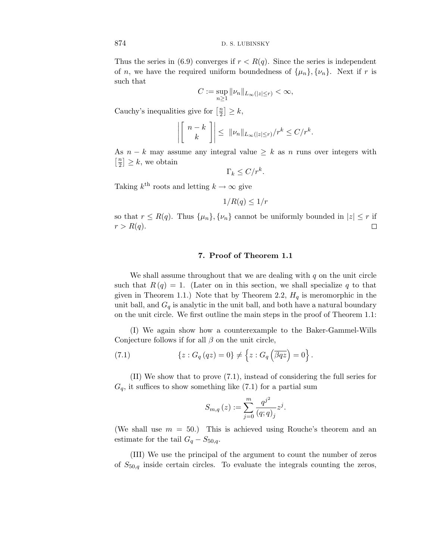Thus the series in (6.9) converges if  $r < R(q)$ . Since the series is independent of *n*, we have the required uniform boundedness of  $\{\mu_n\}$ ,  $\{\nu_n\}$ . Next if *r* is such that

$$
C := \sup_{n \ge 1} ||\nu_n||_{L_\infty(|z| \le r)} < \infty,
$$

Cauchy's inequalities give for  $\left[\frac{n}{2}\right] \geq k$ ,

$$
\left| \left[ \begin{array}{c} n-k \\ k \end{array} \right] \right| \leq ||\nu_n||_{L_{\infty}(|z| \leq r)}/r^k \leq C/r^k.
$$

As  $n - k$  may assume any integral value  $\geq k$  as *n* runs over integers with  $\left[\frac{n}{2}\right] \geq k$ , we obtain

$$
\Gamma_k \le C/r^k.
$$

Taking  $k^{\text{th}}$  roots and letting  $k \to \infty$  give

$$
1/R(q) \le 1/r
$$

so that  $r \leq R(q)$ . Thus  $\{\mu_n\}, \{\nu_n\}$  cannot be uniformly bounded in  $|z| \leq r$  if  $r > R(q)$ .  $\Box$ 

## **7. Proof of Theorem 1.1**

We shall assume throughout that we are dealing with *q* on the unit circle such that  $R(q)=1$ . (Later on in this section, we shall specialize q to that given in Theorem 1.1.) Note that by Theorem 2.2,  $H<sub>q</sub>$  is meromorphic in the unit ball, and  $G_q$  is analytic in the unit ball, and both have a natural boundary on the unit circle. We first outline the main steps in the proof of Theorem 1.1:

(I) We again show how a counterexample to the Baker-Gammel-Wills Conjecture follows if for all *β* on the unit circle,

(7.1) 
$$
\{z: G_q(qz) = 0\} \neq \left\{z: G_q\left(\overline{\beta qz}\right) = 0\right\}.
$$

(II) We show that to prove (7.1), instead of considering the full series for  $G_q$ , it suffices to show something like  $(7.1)$  for a partial sum

$$
S_{m,q}(z) := \sum_{j=0}^{m} \frac{q^{j^2}}{(q;q)_j} z^j.
$$

(We shall use  $m = 50$ .) This is achieved using Rouche's theorem and an estimate for the tail  $G_q - S_{50,q}$ .

(III) We use the principal of the argument to count the number of zeros of *S*50,q inside certain circles. To evaluate the integrals counting the zeros,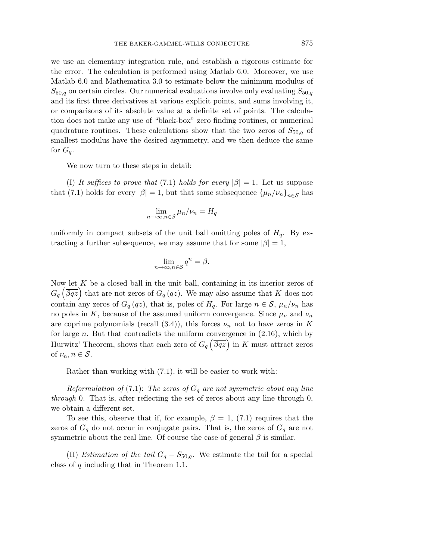we use an elementary integration rule, and establish a rigorous estimate for the error. The calculation is performed using Matlab 6.0. Moreover, we use Matlab 6.0 and Mathematica 3.0 to estimate below the minimum modulus of  $S_{50,q}$  on certain circles. Our numerical evaluations involve only evaluating  $S_{50,q}$ and its first three derivatives at various explicit points, and sums involving it, or comparisons of its absolute value at a definite set of points. The calculation does not make any use of "black-box" zero finding routines, or numerical quadrature routines. These calculations show that the two zeros of  $S_{50,q}$  of smallest modulus have the desired asymmetry, and we then deduce the same for  $G_q$ .

We now turn to these steps in detail:

(I) It suffices to prove that (7.1) holds for every  $|\beta|=1$ . Let us suppose that (7.1) holds for every  $|\beta| = 1$ , but that some subsequence  $\{\mu_n/\nu_n\}_{n \in \mathcal{S}}$  has

$$
\lim_{n \to \infty, n \in \mathcal{S}} \mu_n / \nu_n = H_q
$$

uniformly in compact subsets of the unit ball omitting poles of  $H<sub>q</sub>$ . By extracting a further subsequence, we may assume that for some  $|\beta| = 1$ ,

$$
\lim_{n \to \infty, n \in \mathcal{S}} q^n = \beta.
$$

Now let *K* be a closed ball in the unit ball, containing in its interior zeros of  $G_q(\overline{\beta qz})$  that are not zeros of  $G_q(qz)$ . We may also assume that *K* does not contain any zeros of  $G_q(qz)$ , that is, poles of  $H_q$ . For large  $n \in \mathcal{S}$ ,  $\mu_n/\nu_n$  has no poles in *K*, because of the assumed uniform convergence. Since  $\mu_n$  and  $\nu_n$ are coprime polynomials (recall  $(3.4)$ ), this forces  $\nu_n$  not to have zeros in K for large *n*. But that contradicts the uniform convergence in (2.16), which by Hurwitz' Theorem, shows that each zero of  $G_q\left(\overline{\beta qz}\right)$  in *K* must attract zeros of  $\nu_n, n \in \mathcal{S}$ .

Rather than working with (7.1), it will be easier to work with:

Reformulation of  $(7.1)$ : The zeros of  $G_q$  are not symmetric about any line through 0. That is, after reflecting the set of zeros about any line through 0, we obtain a different set.

To see this, observe that if, for example,  $\beta = 1$ , (7.1) requires that the zeros of  $G_q$  do not occur in conjugate pairs. That is, the zeros of  $G_q$  are not symmetric about the real line. Of course the case of general  $\beta$  is similar.

(II) *Estimation of the tail*  $G_q - S_{50,q}$ . We estimate the tail for a special class of *q* including that in Theorem 1.1.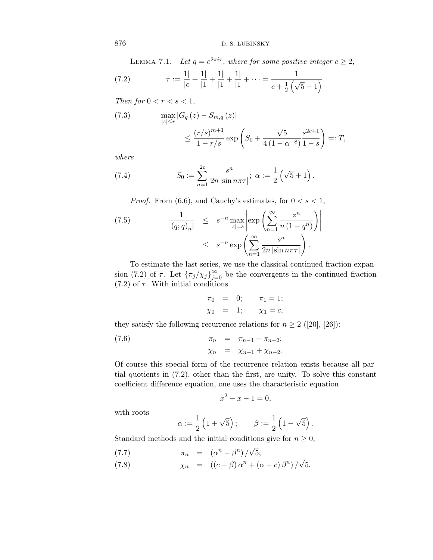LEMMA 7.1. Let  $q = e^{2\pi i \tau}$ , where for some positive integer  $c \geq 2$ ,

(7.2) 
$$
\tau := \frac{1}{|c|} + \frac{1}{|1|} + \frac{1}{|1|} + \frac{1}{|1|} + \dots = \frac{1}{c + \frac{1}{2}(\sqrt{5} - 1)}.
$$

Then for  $0 < r < s < 1$ ,

(7.3) 
$$
\max_{|z| \le r} |G_q(z) - S_{m,q}(z)|
$$
  
 
$$
\le \frac{(r/s)^{m+1}}{1 - r/s} \exp\left(S_0 + \frac{\sqrt{5}}{4(1 - \alpha^{-8})} \frac{s^{2c+1}}{1 - s}\right) =: T,
$$

where

(7.4) 
$$
S_0 := \sum_{n=1}^{2c} \frac{s^n}{2n |\sin n\pi\tau|}; \ \alpha := \frac{1}{2} (\sqrt{5} + 1).
$$

*Proof.* From (6.6), and Cauchy's estimates, for  $0 < s < 1$ ,

$$
(7.5) \qquad \frac{1}{|(q;q)_n|} \leq s^{-n} \max_{|z|=s} \left| \exp\left(\sum_{n=1}^{\infty} \frac{z^n}{n(1-q^n)}\right) \right|
$$

$$
\leq s^{-n} \exp\left(\sum_{n=1}^{\infty} \frac{s^n}{2n|\sin n\pi\tau|}\right).
$$

To estimate the last series, we use the classical continued fraction expansion (7.2) of  $\tau$ . Let  $\{\pi_j/\chi_j\}_{j=0}^{\infty}$  be the convergents in the continued fraction  $(7.2)$  of  $\tau$ . With initial conditions

$$
\pi_0 = 0;
$$
  $\pi_1 = 1;$   
\n $\chi_0 = 1;$   $\chi_1 = c,$ 

they satisfy the following recurrence relations for  $n \geq 2$  ([20], [26]):

(7.6) 
$$
\pi_n = \pi_{n-1} + \pi_{n-2};
$$

$$
\chi_n = \chi_{n-1} + \chi_{n-2}.
$$

Of course this special form of the recurrence relation exists because all partial quotients in (7.2), other than the first, are unity. To solve this constant coefficient difference equation, one uses the characteristic equation

$$
x^2 - x - 1 = 0,
$$

with roots

$$
\alpha := \frac{1}{2} \left( 1 + \sqrt{5} \right); \qquad \beta := \frac{1}{2} \left( 1 - \sqrt{5} \right).
$$

Standard methods and the initial conditions give for  $n \geq 0$ ,

$$
(7.7) \qquad \qquad \pi_n = (\alpha^n - \beta^n) / \sqrt{5};
$$

(7.8)  $\chi_n = ((c - \beta) \alpha^n + (\alpha - c) \beta^n) / \sqrt{5}.$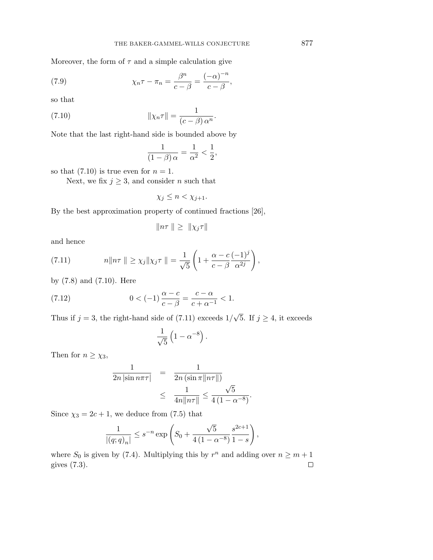Moreover, the form of  $\tau$  and a simple calculation give

(7.9) 
$$
\chi_n \tau - \pi_n = \frac{\beta^n}{c - \beta} = \frac{(-\alpha)^{-n}}{c - \beta},
$$

so that

(7.10) 
$$
\|\chi_n \tau\| = \frac{1}{(c-\beta) \alpha^n}.
$$

Note that the last right-hand side is bounded above by

$$
\frac{1}{(1-\beta)\alpha} = \frac{1}{\alpha^2} < \frac{1}{2},
$$

so that  $(7.10)$  is true even for  $n = 1$ .

Next, we fix  $j \geq 3$ , and consider *n* such that

$$
\chi_j \leq n < \chi_{j+1}.
$$

By the best approximation property of continued fractions [26],

$$
||n\tau|| \geq ||\chi_j\tau||
$$

and hence

(7.11) 
$$
n\|n\tau\| \geq \chi_j\|\chi_j\tau\| = \frac{1}{\sqrt{5}}\left(1 + \frac{\alpha - c}{c - \beta}\frac{(-1)^j}{\alpha^{2j}}\right),
$$

by (7.8) and (7.10). Here

(7.12) 
$$
0 < (-1)\frac{\alpha - c}{c - \beta} = \frac{c - \alpha}{c + \alpha^{-1}} < 1.
$$

Thus if  $j = 3$ , the right-hand side of (7.11) exceeds  $1/\sqrt{5}$ . If  $j \geq 4$ , it exceeds

$$
\frac{1}{\sqrt{5}}\left(1-\alpha^{-8}\right).
$$

Then for  $n \geq \chi_3$ ,

$$
\frac{1}{2n \left|\sin n\pi\tau\right|} = \frac{1}{2n \left(\sin \pi \|n\tau\|\right)}
$$

$$
\leq \frac{1}{4n \|n\tau\|} \leq \frac{\sqrt{5}}{4(1-\alpha^{-8})}.
$$

Since  $\chi_3 = 2c + 1$ , we deduce from (7.5) that

$$
\frac{1}{|(q;q)_n|} \le s^{-n} \exp\left(S_0 + \frac{\sqrt{5}}{4(1-\alpha^{-8})} \frac{s^{2c+1}}{1-s}\right),\,
$$

where  $S_0$  is given by (7.4). Multiplying this by  $r^n$  and adding over  $n \geq m+1$ gives (7.3). $\Box$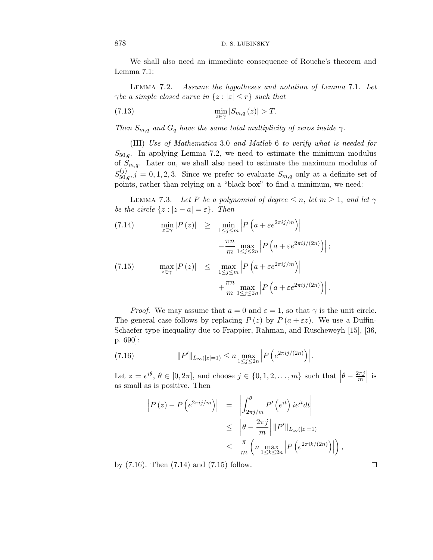We shall also need an immediate consequence of Rouche's theorem and Lemma 7.1:

Lemma 7.2. Assume the hypotheses and notation of Lemma 7.1. Let *γbe a simple closed curve in*  $\{z : |z| \leq r\}$  *such that* 

$$
\min_{z \in \gamma} |S_{m,q}(z)| > T.
$$

Then  $S_{m,q}$  and  $G_q$  have the same total multiplicity of zeros inside  $\gamma$ .

(III) Use of Mathematica 3.0 and Matlab 6 to verify what is needed for  $S_{50,q}$ . In applying Lemma 7.2, we need to estimate the minimum modulus of *S*m,q. Later on, we shall also need to estimate the maximum modulus of  $S_{50,q}^{(j)}$ , *j* = 0, 1, 2, 3. Since we prefer to evaluate  $S_{m,q}$  only at a definite set of points, rather than relying on a "black-box" to find a minimum, we need:

LEMMA 7.3. Let *P* be a polynomial of degree  $\leq n$ , let  $m \geq 1$ , and let  $\gamma$ be the circle  $\{z : |z - a| = \varepsilon\}$ . Then

(7.14) 
$$
\min_{z \in \gamma} |P(z)| \geq \min_{1 \leq j \leq m} \left| P\left(a + \varepsilon e^{2\pi i j/m}\right) \right|
$$

$$
- \frac{\pi n}{m} \max_{1 \leq j \leq 2n} \left| P\left(a + \varepsilon e^{2\pi i j/(2n)}\right) \right|;
$$
  
(7.15) 
$$
\max_{z \in \gamma} |P(z)| \leq \max_{1 \leq j \leq m} \left| P\left(a + \varepsilon e^{2\pi i j/m}\right) \right|
$$

$$
+ \frac{\pi n}{m} \max_{1 \leq j \leq 2n} \left| P\left(a + \varepsilon e^{2\pi i j/(2n)}\right) \right|.
$$

*Proof.* We may assume that  $a = 0$  and  $\varepsilon = 1$ , so that  $\gamma$  is the unit circle. The general case follows by replacing  $P(z)$  by  $P(a + \varepsilon z)$ . We use a Duffin-Schaefer type inequality due to Frappier, Rahman, and Ruscheweyh [15], [36, p. 690]:

(7.16) 
$$
||P'||_{L_{\infty}(|z|=1)} \leq n \max_{1 \leq j \leq 2n} \left| P\left(e^{2\pi i j/(2n)}\right) \right|.
$$

Let  $z = e^{i\theta}, \theta \in [0, 2\pi]$ , and choose  $j \in \{0, 1, 2, ..., m\}$  such that  $\left|\theta - \frac{2\pi j}{m}\right|$  is as small as is positive. Then

$$
\begin{array}{rcl} \left| P \left( z \right) - P \left( e^{2\pi i j/m} \right) \right| & = & \left| \int_{2\pi j/m}^{\theta} P' \left( e^{it} \right) i e^{it} dt \right| \\ & \leq & \left| \theta - \frac{2\pi j}{m} \right| \left\| P' \right\|_{L_{\infty}(|z|=1)} \\ & \leq & \frac{\pi}{m} \left( n \max_{1 \leq k \leq 2n} \left| P \left( e^{2\pi i k/(2n)} \right) \right| \right), \end{array}
$$

 $\Box$ 

by (7.16). Then (7.14) and (7.15) follow.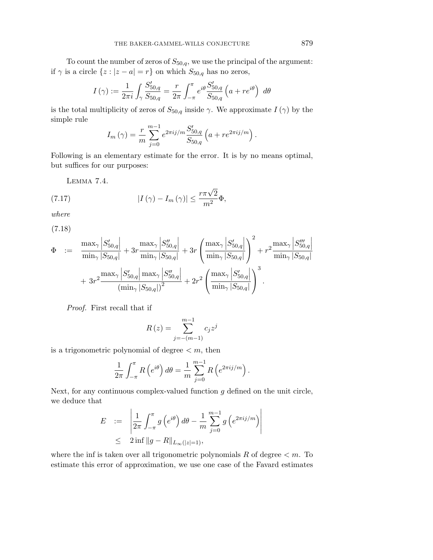To count the number of zeros of  $S_{50,q}$ , we use the principal of the argument: if  $\gamma$  is a circle  $\{z : |z - a| = r\}$  on which  $S_{50,q}$  has no zeros,

$$
I(\gamma) := \frac{1}{2\pi i} \int_{\gamma} \frac{S'_{50,q}}{S_{50,q}} = \frac{r}{2\pi} \int_{-\pi}^{\pi} e^{i\theta} \frac{S'_{50,q}}{S_{50,q}} \left( a + re^{i\theta} \right) d\theta
$$

is the total multiplicity of zeros of  $S_{50,q}$  inside  $\gamma$ . We approximate  $I(\gamma)$  by the simple rule

$$
I_m(\gamma) = \frac{r}{m} \sum_{j=0}^{m-1} e^{2\pi i j/m} \frac{S'_{50,q}}{S_{50,q}} \left( a + r e^{2\pi i j/m} \right).
$$

Following is an elementary estimate for the error. It is by no means optimal, but suffices for our purposes:

Lemma 7.4.

(7.17) 
$$
|I(\gamma) - I_m(\gamma)| \leq \frac{r\pi\sqrt{2}}{m^2}\Phi,
$$

where

(7.18)

$$
\Phi = \frac{\max_{\gamma} \left| S'_{50,q} \right|}{\min_{\gamma} \left| S_{50,q} \right|} + 3r \frac{\max_{\gamma} \left| S''_{50,q} \right|}{\min_{\gamma} \left| S_{50,q} \right|} + 3r \left( \frac{\max_{\gamma} \left| S'_{50,q} \right|}{\min_{\gamma} \left| S_{50,q} \right|} \right)^2 + r^2 \frac{\max_{\gamma} \left| S'''_{50,q} \right|}{\min_{\gamma} \left| S_{50,q} \right|} + 3r^2 \frac{\max_{\gamma} \left| S'_{50,q} \right| \max_{\gamma} \left| S''_{50,q} \right|}{\min_{\gamma} \left| S_{50,q} \right|} + 2r^2 \left( \frac{\max_{\gamma} \left| S'_{50,q} \right|}{\min_{\gamma} \left| S_{50,q} \right|} \right)^3.
$$

Proof. First recall that if

$$
R(z) = \sum_{j=-(m-1)}^{m-1} c_j z^j
$$

is a trigonometric polynomial of degree  $\lt m$ , then

$$
\frac{1}{2\pi} \int_{-\pi}^{\pi} R\left(e^{i\theta}\right) d\theta = \frac{1}{m} \sum_{j=0}^{m-1} R\left(e^{2\pi i j/m}\right).
$$

Next, for any continuous complex-valued function *g* defined on the unit circle, we deduce that

$$
E := \left| \frac{1}{2\pi} \int_{-\pi}^{\pi} g(e^{i\theta}) d\theta - \frac{1}{m} \sum_{j=0}^{m-1} g(e^{2\pi i j/m}) \right|
$$
  
 
$$
\leq 2 \inf ||g - R||_{L_{\infty}(|z|=1)},
$$

where the inf is taken over all trigonometric polynomials  $R$  of degree  $\lt m$ . To estimate this error of approximation, we use one case of the Favard estimates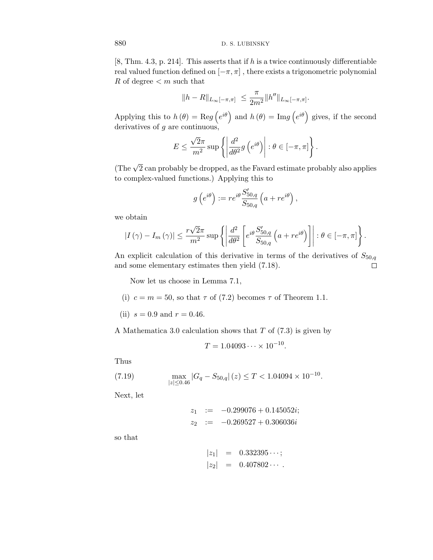[8, Thm. 4.3, p. 214]. This asserts that if *h* is a twice continuously differentiable real valued function defined on  $[-\pi, \pi]$ , there exists a trigonometric polynomial *R* of degree *< m* such that

$$
\|h-R\|_{L_\infty[-\pi,\pi]}\ \leq \frac{\pi}{2m^2} \|h''\|_{L_\infty[-\pi,\pi]}.
$$

Applying this to  $h(\theta) = \text{Re}g(e^{i\theta})$  and  $h(\theta) = \text{Im}g(e^{i\theta})$  gives, if the second derivatives of *g* are continuous,

$$
E \le \frac{\sqrt{2}\pi}{m^2} \sup \left\{ \left| \frac{d^2}{d\theta^2} g\left(e^{i\theta}\right) \right| : \theta \in [-\pi, \pi] \right\}.
$$

(The  $\sqrt{2}$  can probably be dropped, as the Favard estimate probably also applies to complex-valued functions.) Applying this to

$$
g\left(e^{i\theta}\right) := re^{i\theta} \frac{S'_{50,q}}{S_{50,q}}\left(a + re^{i\theta}\right),\,
$$

we obtain

$$
|I(\gamma) - I_m(\gamma)| \leq \frac{r\sqrt{2}\pi}{m^2} \sup \left\{ \left| \frac{d^2}{d\theta^2} \left[ e^{i\theta} \frac{S'_{50,q}}{S_{50,q}} \left( a + re^{i\theta} \right) \right] \right| : \theta \in [-\pi, \pi] \right\}.
$$

An explicit calculation of this derivative in terms of the derivatives of  $S_{50,q}$ and some elementary estimates then yield (7.18).  $\Box$ 

Now let us choose in Lemma 7.1,

- (i)  $c = m = 50$ , so that  $\tau$  of (7.2) becomes  $\tau$  of Theorem 1.1.
- (ii)  $s = 0.9$  and  $r = 0.46$ .

A Mathematica 3.0 calculation shows that *T* of (7.3) is given by

$$
T = 1.04093 \cdots \times 10^{-10}.
$$

Thus

(7.19) 
$$
\max_{|z| \le 0.46} |G_q - S_{50,q}| (z) \le T < 1.04094 \times 10^{-10}.
$$

Next, let

$$
z_1 := -0.299076 + 0.145052i;
$$
  

$$
z_2 := -0.269527 + 0.306036i
$$

so that

$$
|z_1| = 0.332395\cdots;
$$
  

$$
|z_2| = 0.407802\cdots.
$$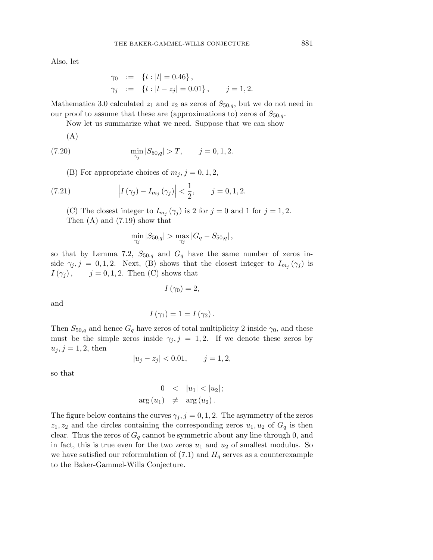Also, let

$$
\gamma_0 := \{ t : |t| = 0.46 \}, \n\gamma_j := \{ t : |t - z_j| = 0.01 \}, \quad j = 1, 2.
$$

Mathematica 3.0 calculated  $z_1$  and  $z_2$  as zeros of  $S_{50,q}$ , but we do not need in our proof to assume that these are (approximations to) zeros of  $S_{50,q}$ .

Now let us summarize what we need. Suppose that we can show

(A)

(7.20) 
$$
\min_{\gamma_j} |S_{50,q}| > T, \qquad j = 0, 1, 2.
$$

(B) For appropriate choices of  $m_j$ ,  $j = 0, 1, 2$ ,

(7.21) 
$$
\left| I(\gamma_j) - I_{m_j}(\gamma_j) \right| < \frac{1}{2}, \quad j = 0, 1, 2.
$$

(C) The closest integer to  $I_{m_j}(\gamma_j)$  is 2 for  $j = 0$  and 1 for  $j = 1, 2$ . Then (A) and (7.19) show that

$$
\min_{\gamma_j} |S_{50,q}| > \max_{\gamma_j} |G_q - S_{50,q}|,
$$

so that by Lemma 7.2,  $S_{50,q}$  and  $G_q$  have the same number of zeros inside  $\gamma_j$ ,  $j = 0, 1, 2$ . Next, (B) shows that the closest integer to  $I_{m_j}(\gamma_j)$  is  $I(\gamma_j)$ ,  $j = 0, 1, 2$ . Then (C) shows that

$$
I\left( \gamma_{0}\right) =2,
$$

and

$$
I(\gamma_1)=1=I(\gamma_2).
$$

Then  $S_{50,q}$  and hence  $G_q$  have zeros of total multiplicity 2 inside  $\gamma_0$ , and these must be the simple zeros inside  $\gamma_i, j = 1, 2$ . If we denote these zeros by  $u_j, j = 1, 2$ , then

$$
|u_j - z_j| < 0.01, \qquad j = 1, 2,
$$

so that

$$
0 < |u_1| < |u_2|;
$$
  
arg  $(u_1) \neq arg(u_2)$ .

The figure below contains the curves  $\gamma_j$ ,  $j = 0, 1, 2$ . The asymmetry of the zeros  $z_1, z_2$  and the circles containing the corresponding zeros  $u_1, u_2$  of  $G_q$  is then clear. Thus the zeros of  $G_q$  cannot be symmetric about any line through 0, and in fact, this is true even for the two zeros  $u_1$  and  $u_2$  of smallest modulus. So we have satisfied our reformulation of  $(7.1)$  and  $H<sub>q</sub>$  serves as a counterexample to the Baker-Gammel-Wills Conjecture.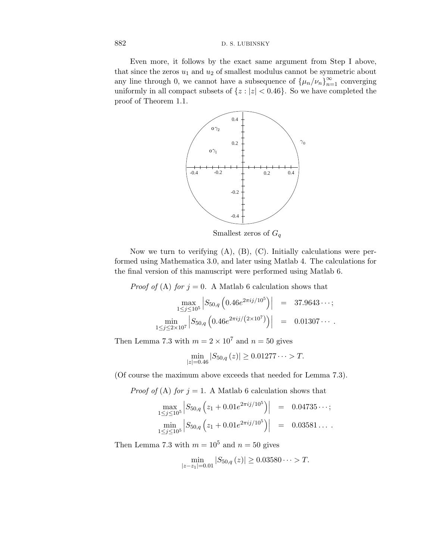Even more, it follows by the exact same argument from Step I above, that since the zeros  $u_1$  and  $u_2$  of smallest modulus cannot be symmetric about any line through 0, we cannot have a subsequence of  $\{\mu_n/\nu_n\}_{n=1}^{\infty}$  converging uniformly in all compact subsets of  $\{z : |z| < 0.46\}$ . So we have completed the proof of Theorem 1.1.



Smallest zeros of *G*<sup>q</sup>

Now we turn to verifying  $(A)$ ,  $(B)$ ,  $(C)$ . Initially calculations were performed using Mathematica 3.0, and later using Matlab 4. The calculations for the final version of this manuscript were performed using Matlab 6.

*Proof of* (A) *for*  $j = 0$ . A Matlab 6 calculation shows that

$$
\max_{1 \le j \le 10^5} \left| S_{50,q} \left( 0.46 e^{2\pi i j/10^5} \right) \right| = 37.9643\cdots;
$$
  

$$
\min_{1 \le j \le 2 \times 10^7} \left| S_{50,q} \left( 0.46 e^{2\pi i j/(2 \times 10^7)} \right) \right| = 0.01307\cdots.
$$

Then Lemma 7.3 with  $m = 2 \times 10^7$  and  $n = 50$  gives

$$
\min_{|z|=0.46} |S_{50,q}(z)| \ge 0.01277\dots > T.
$$

(Of course the maximum above exceeds that needed for Lemma 7.3).

*Proof of* (A) *for*  $j = 1$ . A Matlab 6 calculation shows that

$$
\max_{1 \leq j \leq 10^5} \left| S_{50,q} \left( z_1 + 0.01 e^{2\pi i j/10^5} \right) \right| = 0.04735 \cdots;
$$
  
\n
$$
\min_{1 \leq j \leq 10^5} \left| S_{50,q} \left( z_1 + 0.01 e^{2\pi i j/10^5} \right) \right| = 0.03581 \cdots.
$$

Then Lemma 7.3 with  $m = 10^5$  and  $n = 50$  gives

$$
\min_{|z-z_1|=0.01} |S_{50,q}(z)| \ge 0.03580\dots > T.
$$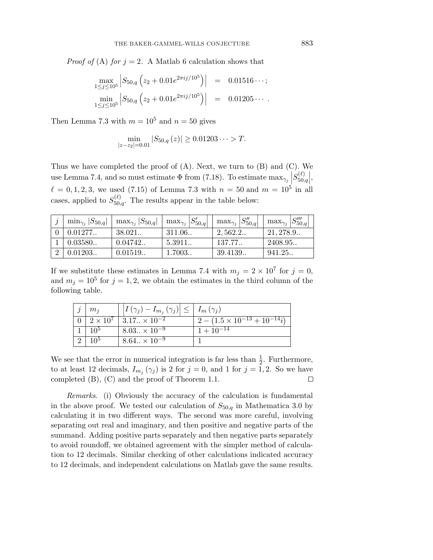*Proof of* (A) *for*  $j = 2$ . A Matlab 6 calculation shows that

$$
\max_{1 \leq j \leq 10^5} \left| S_{50,q} \left( z_2 + 0.01 e^{2\pi i j/10^5} \right) \right| = 0.01516 \cdots;
$$
  
\n
$$
\min_{1 \leq j \leq 10^5} \left| S_{50,q} \left( z_2 + 0.01 e^{2\pi i j/10^5} \right) \right| = 0.01205 \cdots.
$$

Then Lemma 7.3 with  $m = 10^5$  and  $n = 50$  gives

$$
\min_{|z-z_2|=0.01} |S_{50,q}(z)| \ge 0.01203\dots > T.
$$

Thus we have completed the proof of  $(A)$ . Next, we turn to  $(B)$  and  $(C)$ . We use Lemma 7.4, and so must estimate  $\Phi$  from (7.18). To estimate max<sub> $\gamma_j$ </sub>  $S_{50,q}^{(\ell)}$ ,  $\ell = 0, 1, 2, 3$ , we used (7.15) of Lemma 7.3 with  $n = 50$  and  $m = 10^5$  in all cases, applied to  $S_{50,q}^{(\ell)}$ . The results appear in the table below:

| $\min_{\gamma_i}  S_{50,q} $ | $\max_{\gamma_i}  S_{50,q} $ | $\max_{\gamma_j}  S'_{50,q} $ | $\max_{\gamma_j}  S''_{50,q} $ | $\max_{\gamma_j}  S_{50,q}''' $ |
|------------------------------|------------------------------|-------------------------------|--------------------------------|---------------------------------|
| $\mid$ 0.01277               | 38.021                       | 311.06.                       | 2.562.2                        | 21,278.9                        |
| 0.03580                      | 0.04742                      | 5.3911.                       | 137.77                         | 2408.95.                        |
| 0.01203                      | 0.01519                      | 1.7003.                       | 39.4139                        | 941.25                          |

If we substitute these estimates in Lemma 7.4 with  $m_j = 2 \times 10^7$  for  $j = 0$ , and  $m_j = 10^5$  for  $j = 1, 2$ , we obtain the estimates in the third column of the following table.

| $m_i$           | $\left  \left  I(\gamma_j) - I_{m_j}(\gamma_j) \right  \leq \right  I_m(\gamma_j)$ |                                          |
|-----------------|------------------------------------------------------------------------------------|------------------------------------------|
|                 | $0 \mid 2 \times 10^7 \mid 3.17 \dots \times 10^{-2}$                              | $2 - (1.5 \times 10^{-13} + 10^{-14} i)$ |
| 10 <sup>5</sup> | $8.03 \times 10^{-9}$                                                              | $1 + 10^{-14}$                           |
| 10 <sup>5</sup> | $8.64. \times 10^{-9}$                                                             |                                          |

We see that the error in numerical integration is far less than  $\frac{1}{2}$ . Furthermore, to at least 12 decimals,  $I_{m_j}(\gamma_j)$  is 2 for  $j = 0$ , and 1 for  $j = 1, 2$ . So we have completed (B), (C) and the proof of Theorem 1.1.  $\Box$ 

Remarks. (i) Obviously the accuracy of the calculation is fundamental in the above proof. We tested our calculation of  $S_{50,q}$  in Mathematica 3.0 by calculating it in two different ways. The second was more careful, involving separating out real and imaginary, and then positive and negative parts of the summand. Adding positive parts separately and then negative parts separately to avoid roundoff, we obtained agreement with the simpler method of calculation to 12 decimals. Similar checking of other calculations indicated accuracy to 12 decimals, and independent calculations on Matlab gave the same results.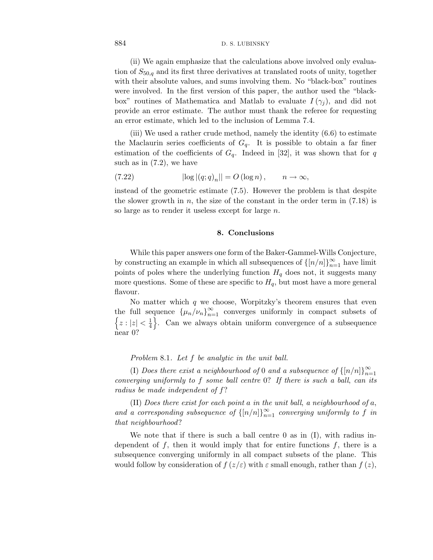(ii) We again emphasize that the calculations above involved only evaluation of *S*50,q and its first three derivatives at translated roots of unity, together with their absolute values, and sums involving them. No "black-box" routines were involved. In the first version of this paper, the author used the "blackbox" routines of Mathematica and Matlab to evaluate  $I(\gamma_i)$ , and did not provide an error estimate. The author must thank the referee for requesting an error estimate, which led to the inclusion of Lemma 7.4.

(iii) We used a rather crude method, namely the identity (6.6) to estimate the Maclaurin series coefficients of  $G_q$ . It is possible to obtain a far finer estimation of the coefficients of  $G_q$ . Indeed in [32], it was shown that for *q* such as in  $(7.2)$ , we have

(7.22) 
$$
|\log |(q;q)_n|| = O(\log n), \qquad n \to \infty,
$$

instead of the geometric estimate (7.5). However the problem is that despite the slower growth in *n*, the size of the constant in the order term in (7.18) is so large as to render it useless except for large *n*.

## **8. Conclusions**

While this paper answers one form of the Baker-Gammel-Wills Conjecture, by constructing an example in which all subsequences of  $\{[n/n]\}_{n=1}^{\infty}$  have limit points of poles where the underlying function  $H_q$  does not, it suggests many more questions. Some of these are specific to  $H_q$ , but most have a more general flavour.

No matter which *q* we choose, Worpitzky's theorem ensures that even the full sequence  $\{\mu_n/\nu_n\}_{n=1}^{\infty}$  converges uniformly in compact subsets of  $\left\{z:|z|<\frac{1}{4}\right\}$ . Can we always obtain uniform convergence of a subsequence near 0?

Problem 8.1. Let *f* be analytic in the unit ball.

(I) Does there exist a neighbourhood of 0 and a subsequence of  $\{[n/n]\}_{n=1}^{\infty}$ converging uniformly to *f* some ball centre 0? If there is such a ball, can its radius be made independent of *f*?

(II) Does there exist for each point *a* in the unit ball, a neighbourhood of *a*, and a corresponding subsequence of  $\{[n/n]\}_{n=1}^{\infty}$  converging uniformly to f in that neighbourhood?

We note that if there is such a ball centre  $0$  as in  $(I)$ , with radius independent of *f*, then it would imply that for entire functions *f*, there is a subsequence converging uniformly in all compact subsets of the plane. This would follow by consideration of  $f(z/\varepsilon)$  with  $\varepsilon$  small enough, rather than  $f(z)$ ,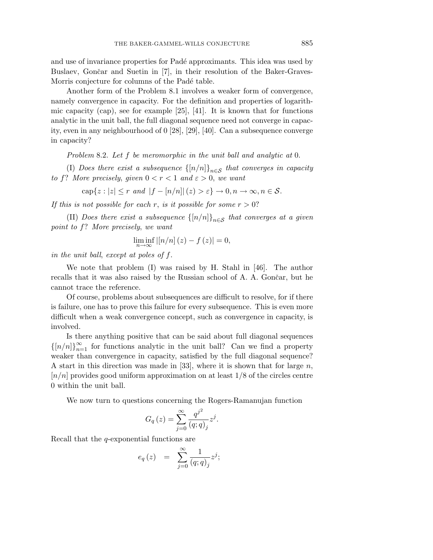and use of invariance properties for Padé approximants. This idea was used by Buslaev, Gončar and Suetin in [7], in their resolution of the Baker-Graves-Morris conjecture for columns of the Padé table.

Another form of the Problem 8.1 involves a weaker form of convergence, namely convergence in capacity. For the definition and properties of logarithmic capacity (cap), see for example  $[25]$ ,  $[41]$ . It is known that for functions analytic in the unit ball, the full diagonal sequence need not converge in capacity, even in any neighbourhood of 0 [28], [29], [40]. Can a subsequence converge in capacity?

Problem 8.2. Let *f* be meromorphic in the unit ball and analytic at 0.

(I) Does there exist a subsequence  $\{[n/n]\}_{n\in\mathcal{S}}$  that converges in capacity to *f*? More precisely, given  $0 < r < 1$  and  $\varepsilon > 0$ , we want

$$
\operatorname{cap}\{z:|z|\leq r\text{ and }|f-[n/n]|(z)>\varepsilon\}\to 0,n\to\infty,n\in\mathcal{S}.
$$

If this is not possible for each *r*, is it possible for some  $r > 0$ ?

(II) Does there exist a subsequence  $\{[n/n]\}_{n\in\mathcal{S}}$  that converges at a given point to *f*? More precisely, we want

$$
\liminf_{n\to\infty} |[n/n](z) - f(z)| = 0,
$$

in the unit ball, except at poles of *f*.

We note that problem (I) was raised by H. Stahl in [46]. The author recalls that it was also raised by the Russian school of A. A. Gončar, but he cannot trace the reference.

Of course, problems about subsequences are difficult to resolve, for if there is failure, one has to prove this failure for every subsequence. This is even more difficult when a weak convergence concept, such as convergence in capacity, is involved.

Is there anything positive that can be said about full diagonal sequences  $\{[n/n]\}_{n=1}^{\infty}$  for functions analytic in the unit ball? Can we find a property weaker than convergence in capacity, satisfied by the full diagonal sequence? A start in this direction was made in [33], where it is shown that for large *n*, [*n/n*] provides good uniform approximation on at least 1*/*8 of the circles centre 0 within the unit ball.

We now turn to questions concerning the Rogers-Ramanujan function

$$
G_q(z) = \sum_{j=0}^{\infty} \frac{q^{j^2}}{(q;q)_j} z^j.
$$

Recall that the *q*-exponential functions are

$$
e_q(z) = \sum_{j=0}^{\infty} \frac{1}{(q;q)_j} z^j;
$$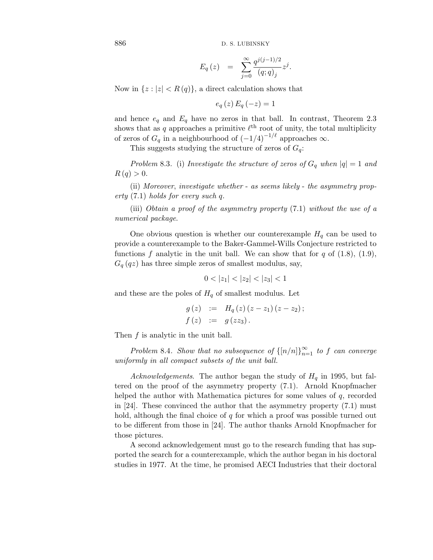$$
E_q(z) = \sum_{j=0}^{\infty} \frac{q^{j(j-1)/2}}{(q;q)_j} z^j.
$$

Now in  $\{z : |z| < R(q)\}$ , a direct calculation shows that

$$
e_q(z) E_q(-z) = 1
$$

and hence  $e_q$  and  $E_q$  have no zeros in that ball. In contrast, Theorem 2.3 shows that as  $q$  approaches a primitive  $\ell^{\text{th}}$  root of unity, the total multiplicity of zeros of  $G_q$  in a neighbourhood of  $(-1/4)^{-1/\ell}$  approaches  $\infty$ .

This suggests studying the structure of zeros of  $G_q$ :

Problem 8.3. (i) Investigate the structure of zeros of  $G_q$  when  $|q|=1$  and  $R(q) > 0.$ 

(ii) Moreover, investigate whether - as seems likely - the asymmetry property (7.1) holds for every such *q*.

(iii) Obtain a proof of the asymmetry property (7.1) without the use of a numerical package.

One obvious question is whether our counterexample  $H_q$  can be used to provide a counterexample to the Baker-Gammel-Wills Conjecture restricted to functions  $f$  analytic in the unit ball. We can show that for  $q$  of  $(1.8)$ ,  $(1.9)$ ,  $G_q(qz)$  has three simple zeros of smallest modulus, say,

$$
0 < |z_1| < |z_2| < |z_3| < 1
$$

and these are the poles of  $H_q$  of smallest modulus. Let

$$
g(z) := H_q(z) (z - z_1) (z - z_2);
$$
  
\n
$$
f(z) := g(zz_3).
$$

Then *f* is analytic in the unit ball.

Problem 8.4. Show that no subsequence of  $\{[n/n]\}_{n=1}^{\infty}$  to f can converge uniformly in all compact subsets of the unit ball.

Acknowledgements. The author began the study of  $H_q$  in 1995, but faltered on the proof of the asymmetry property (7.1). Arnold Knopfmacher helped the author with Mathematica pictures for some values of *q*, recorded in [24]. These convinced the author that the asymmetry property (7.1) must hold, although the final choice of *q* for which a proof was possible turned out to be different from those in [24]. The author thanks Arnold Knopfmacher for those pictures.

A second acknowledgement must go to the research funding that has supported the search for a counterexample, which the author began in his doctoral studies in 1977. At the time, he promised AECI Industries that their doctoral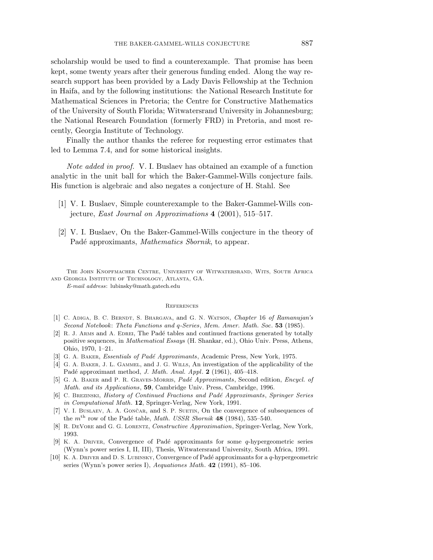scholarship would be used to find a counterexample. That promise has been kept, some twenty years after their generous funding ended. Along the way research support has been provided by a Lady Davis Fellowship at the Technion in Haifa, and by the following institutions: the National Research Institute for Mathematical Sciences in Pretoria; the Centre for Constructive Mathematics of the University of South Florida; Witwatersrand University in Johannesburg; the National Research Foundation (formerly FRD) in Pretoria, and most recently, Georgia Institute of Technology.

Finally the author thanks the referee for requesting error estimates that led to Lemma 7.4, and for some historical insights.

Note added in proof. V. I. Buslaev has obtained an example of a function analytic in the unit ball for which the Baker-Gammel-Wills conjecture fails. His function is algebraic and also negates a conjecture of H. Stahl. See

- [1] V. I. Buslaev, Simple counterexample to the Baker-Gammel-Wills conjecture, East Journal on Approximations **4** (2001), 515–517.
- [2] V. I. Buslaev, On the Baker-Gammel-Wills conjecture in the theory of Padé approximants, Mathematics Sbornik, to appear.

The John Knopfmacher Centre, University of Witwatersrand, Wits, South Africa and Georgia Institute of Technology, Atlanta, GA. *E-mail address*: lubinsky@math.gatech.edu

#### **REFERENCES**

- [1] C. Adiga, B. C. Berndt, S. Bhargava, and G. N. Watson, *Chapter* 16 *of Ramanujan's Second Notebook*: *Theta Functions and q-Series*, *Mem. Amer. Math. Soc*. **53** (1985).
- [2] R. J. ARMS and A. EDREI, The Padé tables and continued fractions generated by totally positive sequences, in *Mathematical Essays* (H. Shankar, ed.), Ohio Univ. Press, Athens, Ohio, 1970, 1–21.
- [3] G. A. Baker, *Essentials of Pad´e Approximants*, Academic Press, New York, 1975.
- [4] G. A. Baker, J. L. Gammel, and J. G. Wills, An investigation of the applicability of the Pad´e approximant method, *J. Math. Anal. Appl*. **2** (1961), 405–418.
- [5] G. A. Baker and P. R. Graves-Morris, *Pade*´ *Approximants*, Second edition, *Encycl. of Math. and its Applications*, **59**, Cambridge Univ. Press, Cambridge, 1996.
- [6] C. Brezinski, *History of Continued Fractions and Pad´e Approximants*, *Springer Series in Computational Math*. **12**, Springer-Verlag, New York, 1991.
- [7] V. I. BUSLAEV, A. A. GONCAR, and S. P. SUETIN, On the convergence of subsequences of the  $m<sup>th</sup>$  row of the Padé table, *Math. USSR Sbornik* **48** (1984), 535–540.
- [8] R. DeVore and G. G. Lorentz, *Constructive Approximation*, Springer-Verlag, New York, 1993.
- [9] K. A. Driver, Convergence of Pad´e approximants for some *q*-hypergeometric series (Wynn's power series I, II, III), Thesis, Witwatersrand University, South Africa, 1991.
- [10] K. A. Driver and D. S. Lubinsky, Convergence of Pad´e approximants for a *q*-hypergeometric series (Wynn's power series I), *Aequationes Math*. **42** (1991), 85–106.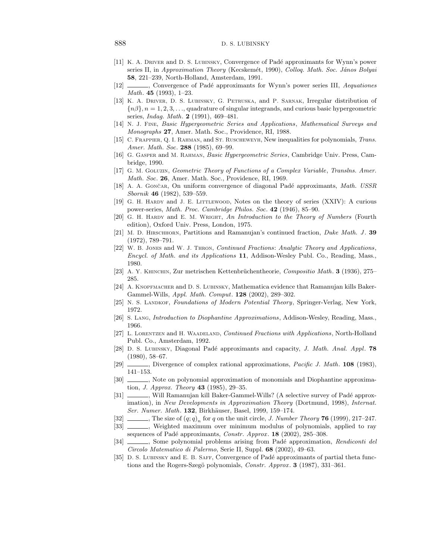- [11] K. A. Driver and D. S. Lubinsky, Convergence of Pad´e approximants for Wynn's power series II, in *Approximation Theory* (Kecskemét, 1990), *Colloq. Math. Soc. János Bolyai* **58**, 221–239, North-Holland, Amsterdam, 1991.
- [12] , Convergence of Pad´e approximants for Wynn's power series III, *Aequationes Math*. **45** (1993), 1–23.
- [13] K. A. Driver, D. S. Lubinsky, G. Petruska, and P. Sarnak, Irregular distribution of {*nβ*}*, n* = 1*,* 2*,* 3*,...*, quadrature of singular integrands, and curious basic hypergeometric series, *Indag. Math*. **2** (1991), 469–481.
- [14] N. J. Fine, *Basic Hypergeometric Series and Applications*, *Mathematical Surveys and Monographs* **27**, Amer. Math. Soc., Providence, RI, 1988.
- [15] C. Frappier, Q. I. Rahman, and St. Ruscheweyh, New inequalities for polynomials, *Trans. Amer. Math. Soc*. **288** (1985), 69–99.
- [16] G. Gasper and M. Rahman, *Basic Hypergeometric Series*, Cambridge Univ. Press, Cambridge, 1990.
- [17] G. M. Goluzin, *Geometric Theory of Functions of a Complex Variable*, *Translns. Amer. Math. Soc*. **26**, Amer. Math. Soc., Providence, RI, 1969.
- [18] A. A. Gončar, On uniform convergence of diagonal Padé approximants, *Math. USSR Sbornik* **46** (1982), 539–559.
- [19] G. H. Hardy and J. E. Littlewood, Notes on the theory of series (XXIV): A curious power-series, *Math. Proc. Cambridge Philos. Soc*. **42** (1946), 85–90.
- [20] G. H. Hardy and E. M. Wright, *An Introduction to the Theory of Numbers* (Fourth edition), Oxford Univ. Press, London, 1975.
- [21] M. D. Hirschhorn, Partitions and Ramanujan's continued fraction, *Duke Math. J* . **39** (1972), 789–791.
- [22] W. B. Jones and W. J. Thron, *Continued Fractions*: *Analytic Theory and Applications*, *Encycl. of Math. and its Applications* **11**, Addison-Wesley Publ. Co., Reading, Mass., 1980.
- [23] A. Y. Khinchin, Zur metrischen Kettenbr¨uchentheorie, *Compositio Math*. **3** (1936), 275– 285.
- [24] A. KNOPFMACHER and D. S. LUBINSKY, Mathematica evidence that Ramanujan kills Baker-Gammel-Wills, *Appl. Math. Comput*. **128** (2002), 289–302.
- [25] N. S. Landkof, *Foundations of Modern Potential Theory*, Springer-Verlag, New York, 1972.
- [26] S. Lang, *Introduction to Diophantine Approximations*, Addison-Wesley, Reading, Mass., 1966.
- [27] L. Lorentzen and H. Waadeland, *Continued Fractions with Applications*, North-Holland Publ. Co., Amsterdam, 1992.
- [28] D. S. Lubinsky, Diagonal Pad´e approximants and capacity, *J. Math. Anal. Appl*. **78** (1980), 58–67.
- [29] , Divergence of complex rational approximations, *Pacific J. Math*. **108** (1983), 141–153.
- [30]  $\_\_\_\_\_\$ , Note on polynomial approximation of monomials and Diophantine approximation, *J. Approx. Theory* **43** (1985), 29–35.
- [31] , Will Ramanujan kill Baker-Gammel-Wills? (A selective survey of Padé approximation), in *New Developments in Approximation Theory* (Dortmund, 1998), *Internat. Ser. Numer. Math.* **132**, Birkhäuser, Basel, 1999, 159–174.
- [32]  $\qquad \qquad$ , The size of  $(q; q)_n$  for *q* on the unit circle, *J. Number Theory* **76** (1999), 217–247.
- [33] \_\_\_\_\_\_, Weighted maximum over minimum modulus of polynomials, applied to ray sequences of Padé approximants, *Constr. Approx.* **18** (2002), 285-308.
- [34] , Some polynomial problems arising from Padé approximation, *Rendiconti del Circolo Matematico di Palermo*, Serie II, Suppl. **68** (2002), 49–63.
- [35] D. S. Lubinsky and E. B. Saff, Convergence of Pad´e approximants of partial theta functions and the Rogers-Szegö polynomials, *Constr. Approx.* **3** (1987), 331–361.